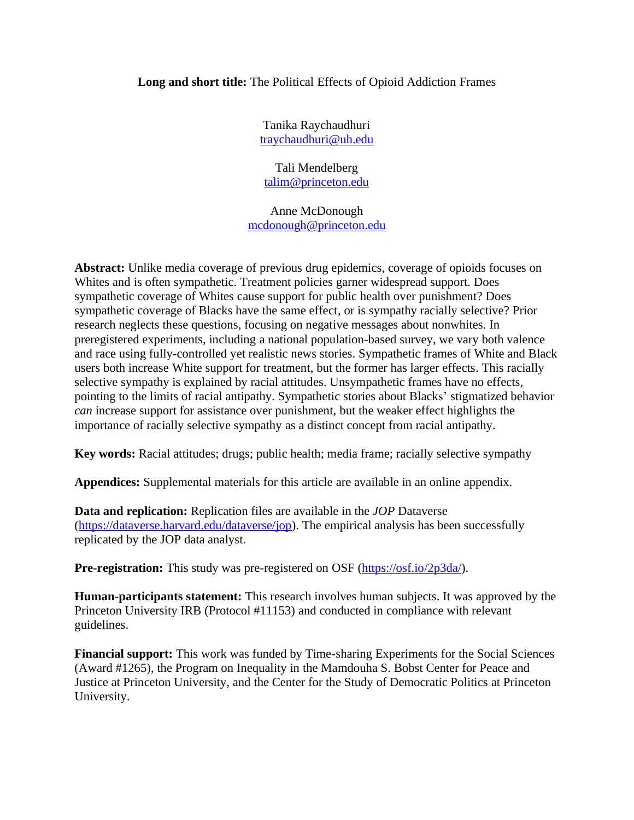## **Long and short title:** The Political Effects of Opioid Addiction Frames

Tanika Raychaudhuri [traychaudhuri@uh.edu](mailto:traychaudhuri@uh.edu)

Tali Mendelberg [talim@princeton.edu](mailto:talim@princeton.edu)

Anne McDonough [mcdonough@princeton.edu](mailto:mcdonough@princeton.edu)

**Abstract:** Unlike media coverage of previous drug epidemics, coverage of opioids focuses on Whites and is often sympathetic. Treatment policies garner widespread support. Does sympathetic coverage of Whites cause support for public health over punishment? Does sympathetic coverage of Blacks have the same effect, or is sympathy racially selective? Prior research neglects these questions, focusing on negative messages about nonwhites. In preregistered experiments, including a national population-based survey, we vary both valence and race using fully-controlled yet realistic news stories. Sympathetic frames of White and Black users both increase White support for treatment, but the former has larger effects. This racially selective sympathy is explained by racial attitudes. Unsympathetic frames have no effects, pointing to the limits of racial antipathy. Sympathetic stories about Blacks' stigmatized behavior *can* increase support for assistance over punishment, but the weaker effect highlights the importance of racially selective sympathy as a distinct concept from racial antipathy.

**Key words:** Racial attitudes; drugs; public health; media frame; racially selective sympathy

**Appendices:** Supplemental materials for this article are available in an online appendix.

**Data and replication:** Replication files are available in the *JOP* Dataverse [\(https://dataverse.harvard.edu/dataverse/jop\)](https://dataverse.harvard.edu/dataverse/jop). The empirical analysis has been successfully replicated by the JOP data analyst.

**Pre-registration:** This study was pre-registered on OSF [\(https://osf.io/2p3da/\)](https://osf.io/2p3da/).

**Human-participants statement:** This research involves human subjects. It was approved by the Princeton University IRB (Protocol #11153) and conducted in compliance with relevant guidelines.

**Financial support:** This work was funded by Time-sharing Experiments for the Social Sciences (Award #1265), the Program on Inequality in the Mamdouha S. Bobst Center for Peace and Justice at Princeton University, and the Center for the Study of Democratic Politics at Princeton University.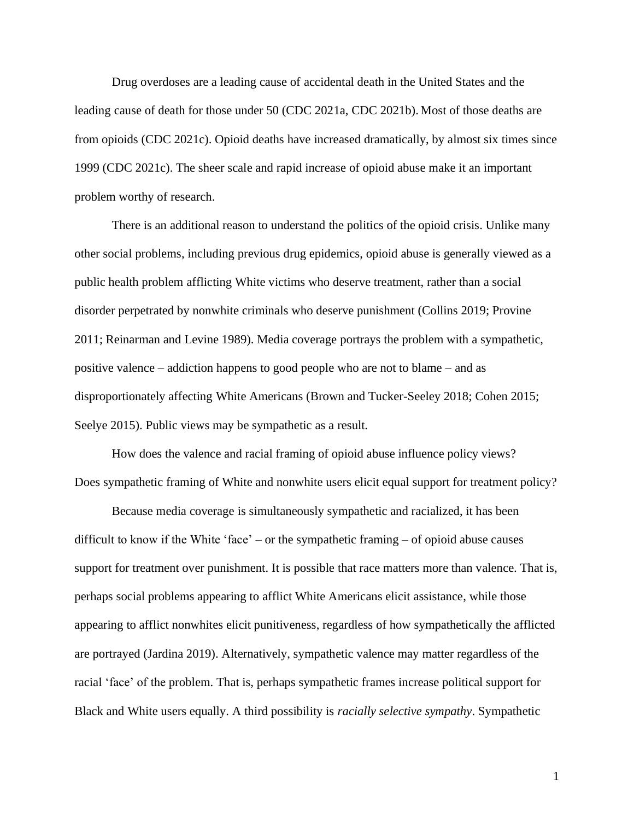Drug overdoses are a leading cause of accidental death in the United States and the leading cause of death for those under 50 (CDC 2021a, CDC 2021b). Most of those deaths are from opioids (CDC 2021c). Opioid deaths have increased dramatically, by almost six times since 1999 (CDC 2021c). The sheer scale and rapid increase of opioid abuse make it an important problem worthy of research.

There is an additional reason to understand the politics of the opioid crisis. Unlike many other social problems, including previous drug epidemics, opioid abuse is generally viewed as a public health problem afflicting White victims who deserve treatment, rather than a social disorder perpetrated by nonwhite criminals who deserve punishment (Collins 2019; Provine 2011; Reinarman and Levine 1989). Media coverage portrays the problem with a sympathetic, positive valence – addiction happens to good people who are not to blame – and as disproportionately affecting White Americans (Brown and Tucker-Seeley 2018; Cohen 2015; Seelye 2015). Public views may be sympathetic as a result.

How does the valence and racial framing of opioid abuse influence policy views? Does sympathetic framing of White and nonwhite users elicit equal support for treatment policy?

Because media coverage is simultaneously sympathetic and racialized, it has been difficult to know if the White 'face' – or the sympathetic framing – of opioid abuse causes support for treatment over punishment. It is possible that race matters more than valence. That is, perhaps social problems appearing to afflict White Americans elicit assistance, while those appearing to afflict nonwhites elicit punitiveness, regardless of how sympathetically the afflicted are portrayed (Jardina 2019). Alternatively, sympathetic valence may matter regardless of the racial 'face' of the problem. That is, perhaps sympathetic frames increase political support for Black and White users equally. A third possibility is *racially selective sympathy*. Sympathetic

1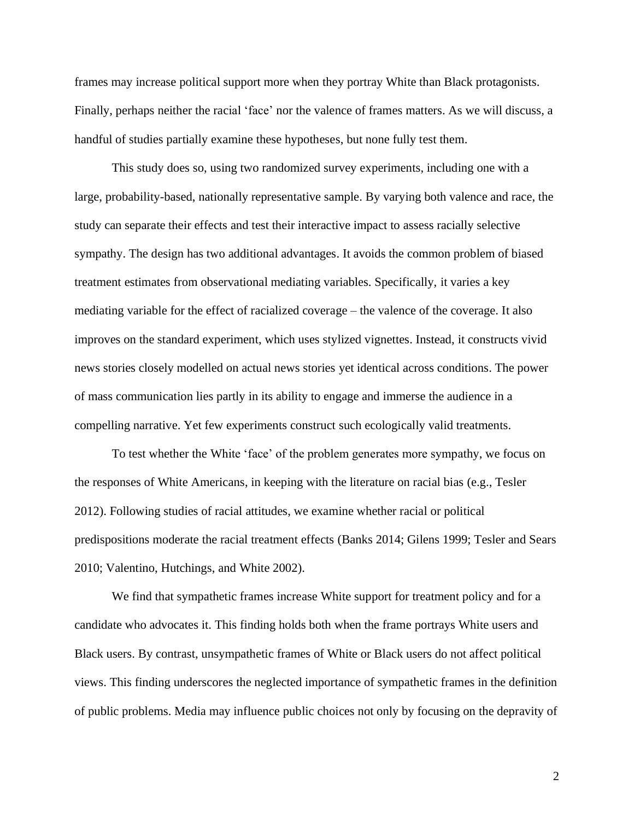frames may increase political support more when they portray White than Black protagonists. Finally, perhaps neither the racial 'face' nor the valence of frames matters. As we will discuss, a handful of studies partially examine these hypotheses, but none fully test them.

This study does so, using two randomized survey experiments, including one with a large, probability-based, nationally representative sample. By varying both valence and race, the study can separate their effects and test their interactive impact to assess racially selective sympathy. The design has two additional advantages. It avoids the common problem of biased treatment estimates from observational mediating variables. Specifically, it varies a key mediating variable for the effect of racialized coverage – the valence of the coverage. It also improves on the standard experiment, which uses stylized vignettes. Instead, it constructs vivid news stories closely modelled on actual news stories yet identical across conditions. The power of mass communication lies partly in its ability to engage and immerse the audience in a compelling narrative. Yet few experiments construct such ecologically valid treatments.

To test whether the White 'face' of the problem generates more sympathy, we focus on the responses of White Americans, in keeping with the literature on racial bias (e.g., Tesler 2012). Following studies of racial attitudes, we examine whether racial or political predispositions moderate the racial treatment effects (Banks 2014; Gilens 1999; Tesler and Sears 2010; Valentino, Hutchings, and White 2002).

We find that sympathetic frames increase White support for treatment policy and for a candidate who advocates it. This finding holds both when the frame portrays White users and Black users. By contrast, unsympathetic frames of White or Black users do not affect political views. This finding underscores the neglected importance of sympathetic frames in the definition of public problems. Media may influence public choices not only by focusing on the depravity of

2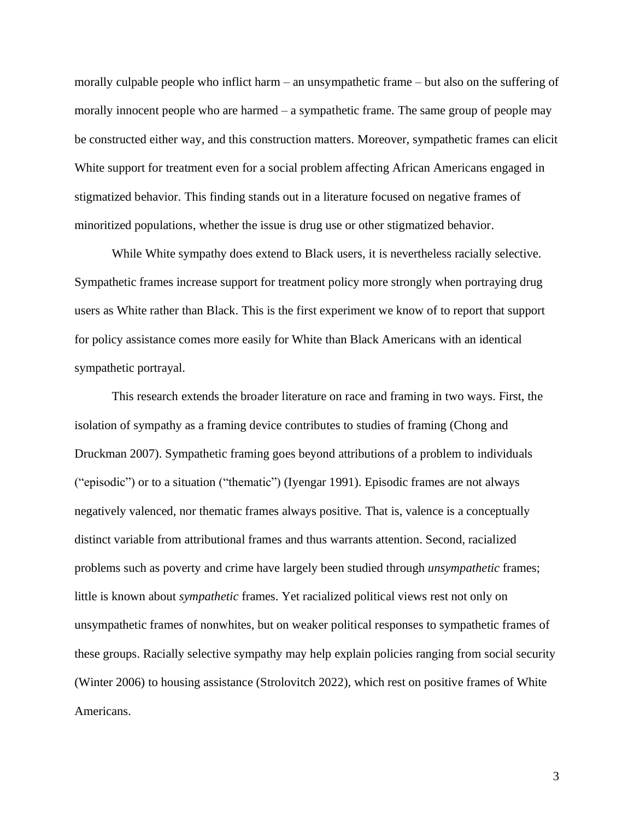morally culpable people who inflict harm – an unsympathetic frame – but also on the suffering of morally innocent people who are harmed – a sympathetic frame. The same group of people may be constructed either way, and this construction matters. Moreover, sympathetic frames can elicit White support for treatment even for a social problem affecting African Americans engaged in stigmatized behavior. This finding stands out in a literature focused on negative frames of minoritized populations, whether the issue is drug use or other stigmatized behavior.

While White sympathy does extend to Black users, it is nevertheless racially selective. Sympathetic frames increase support for treatment policy more strongly when portraying drug users as White rather than Black. This is the first experiment we know of to report that support for policy assistance comes more easily for White than Black Americans with an identical sympathetic portrayal.

This research extends the broader literature on race and framing in two ways. First, the isolation of sympathy as a framing device contributes to studies of framing (Chong and Druckman 2007). Sympathetic framing goes beyond attributions of a problem to individuals ("episodic") or to a situation ("thematic") (Iyengar 1991). Episodic frames are not always negatively valenced, nor thematic frames always positive. That is, valence is a conceptually distinct variable from attributional frames and thus warrants attention. Second, racialized problems such as poverty and crime have largely been studied through *unsympathetic* frames; little is known about *sympathetic* frames. Yet racialized political views rest not only on unsympathetic frames of nonwhites, but on weaker political responses to sympathetic frames of these groups. Racially selective sympathy may help explain policies ranging from social security (Winter 2006) to housing assistance (Strolovitch 2022), which rest on positive frames of White Americans.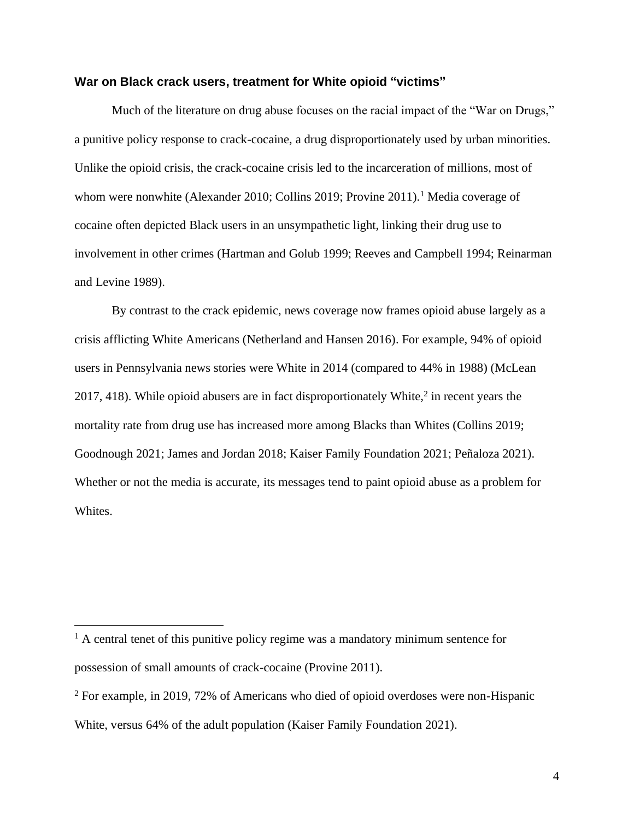## **War on Black crack users, treatment for White opioid "victims"**

Much of the literature on drug abuse focuses on the racial impact of the "War on Drugs," a punitive policy response to crack-cocaine, a drug disproportionately used by urban minorities. Unlike the opioid crisis, the crack-cocaine crisis led to the incarceration of millions, most of whom were nonwhite (Alexander 2010; Collins 2019; Provine 2011).<sup>1</sup> Media coverage of cocaine often depicted Black users in an unsympathetic light, linking their drug use to involvement in other crimes (Hartman and Golub 1999; Reeves and Campbell 1994; Reinarman and Levine 1989).

By contrast to the crack epidemic, news coverage now frames opioid abuse largely as a crisis afflicting White Americans (Netherland and Hansen 2016). For example, 94% of opioid users in Pennsylvania news stories were White in 2014 (compared to 44% in 1988) (McLean 2017, 418). While opioid abusers are in fact disproportionately White, $2$  in recent years the mortality rate from drug use has increased more among Blacks than Whites (Collins 2019; Goodnough 2021; James and Jordan 2018; Kaiser Family Foundation 2021; Peñaloza 2021). Whether or not the media is accurate, its messages tend to paint opioid abuse as a problem for Whites.

<sup>&</sup>lt;sup>1</sup> A central tenet of this punitive policy regime was a mandatory minimum sentence for possession of small amounts of crack-cocaine (Provine 2011).

<sup>2</sup> For example, in 2019, 72% of Americans who died of opioid overdoses were non-Hispanic White, versus 64% of the adult population (Kaiser Family Foundation 2021).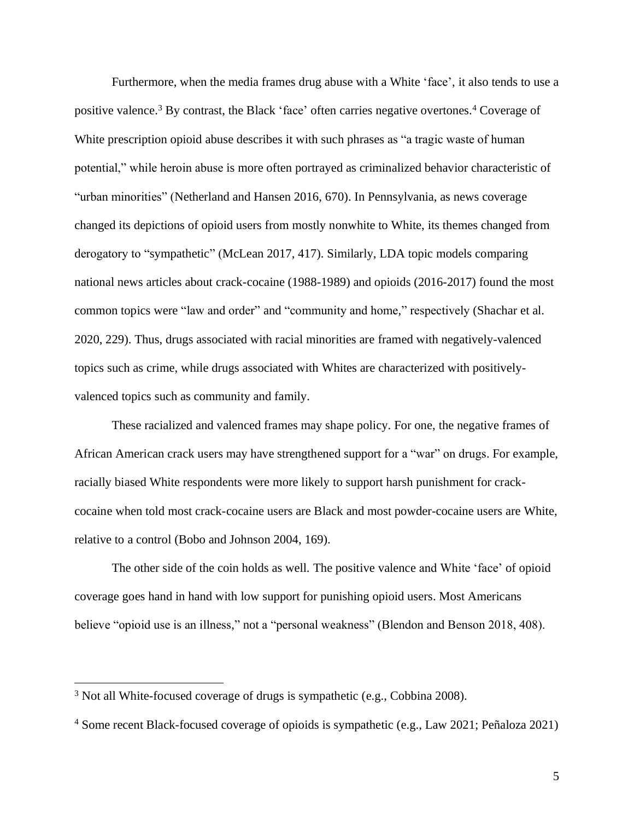Furthermore, when the media frames drug abuse with a White 'face', it also tends to use a positive valence.<sup>3</sup> By contrast, the Black 'face' often carries negative overtones.<sup>4</sup> Coverage of White prescription opioid abuse describes it with such phrases as "a tragic waste of human potential," while heroin abuse is more often portrayed as criminalized behavior characteristic of "urban minorities" (Netherland and Hansen 2016, 670). In Pennsylvania, as news coverage changed its depictions of opioid users from mostly nonwhite to White, its themes changed from derogatory to "sympathetic" (McLean 2017, 417). Similarly, LDA topic models comparing national news articles about crack-cocaine (1988-1989) and opioids (2016-2017) found the most common topics were "law and order" and "community and home," respectively (Shachar et al. 2020, 229). Thus, drugs associated with racial minorities are framed with negatively-valenced topics such as crime, while drugs associated with Whites are characterized with positivelyvalenced topics such as community and family.

These racialized and valenced frames may shape policy. For one, the negative frames of African American crack users may have strengthened support for a "war" on drugs. For example, racially biased White respondents were more likely to support harsh punishment for crackcocaine when told most crack-cocaine users are Black and most powder-cocaine users are White, relative to a control (Bobo and Johnson 2004, 169).

The other side of the coin holds as well. The positive valence and White 'face' of opioid coverage goes hand in hand with low support for punishing opioid users. Most Americans believe "opioid use is an illness," not a "personal weakness" (Blendon and Benson 2018, 408).

<sup>3</sup> Not all White-focused coverage of drugs is sympathetic (e.g., Cobbina 2008).

<sup>4</sup> Some recent Black-focused coverage of opioids is sympathetic (e.g., Law 2021; Peñaloza 2021)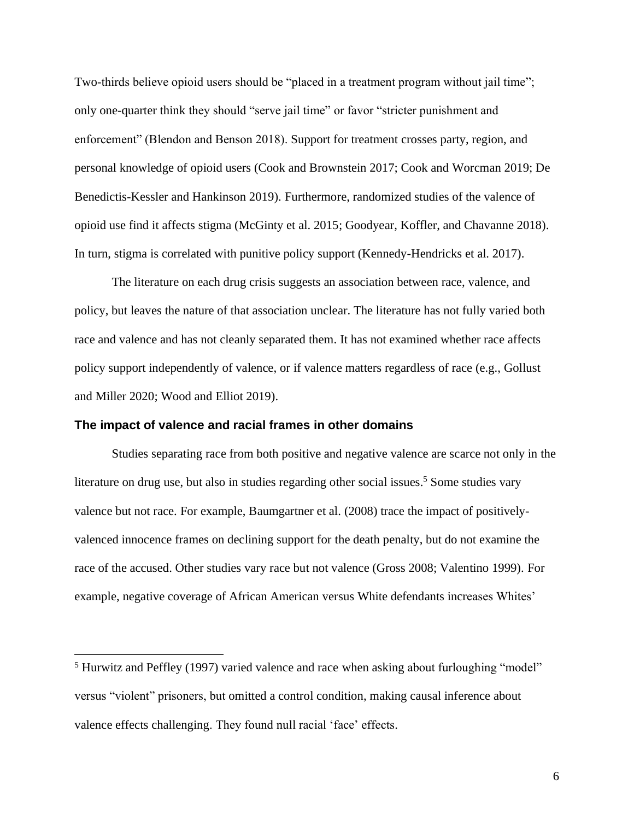Two-thirds believe opioid users should be "placed in a treatment program without jail time"; only one-quarter think they should "serve jail time" or favor "stricter punishment and enforcement" (Blendon and Benson 2018). Support for treatment crosses party, region, and personal knowledge of opioid users (Cook and Brownstein 2017; Cook and Worcman 2019; De Benedictis-Kessler and Hankinson 2019). Furthermore, randomized studies of the valence of opioid use find it affects stigma (McGinty et al. 2015; Goodyear, Koffler, and Chavanne 2018). In turn, stigma is correlated with punitive policy support (Kennedy-Hendricks et al. 2017).

The literature on each drug crisis suggests an association between race, valence, and policy, but leaves the nature of that association unclear. The literature has not fully varied both race and valence and has not cleanly separated them. It has not examined whether race affects policy support independently of valence, or if valence matters regardless of race (e.g., Gollust and Miller 2020; Wood and Elliot 2019).

#### **The impact of valence and racial frames in other domains**

Studies separating race from both positive and negative valence are scarce not only in the literature on drug use, but also in studies regarding other social issues. <sup>5</sup> Some studies vary valence but not race. For example, Baumgartner et al. (2008) trace the impact of positivelyvalenced innocence frames on declining support for the death penalty, but do not examine the race of the accused. Other studies vary race but not valence (Gross 2008; Valentino 1999). For example, negative coverage of African American versus White defendants increases Whites'

<sup>&</sup>lt;sup>5</sup> Hurwitz and Peffley (1997) varied valence and race when asking about furloughing "model" versus "violent" prisoners, but omitted a control condition, making causal inference about valence effects challenging. They found null racial 'face' effects.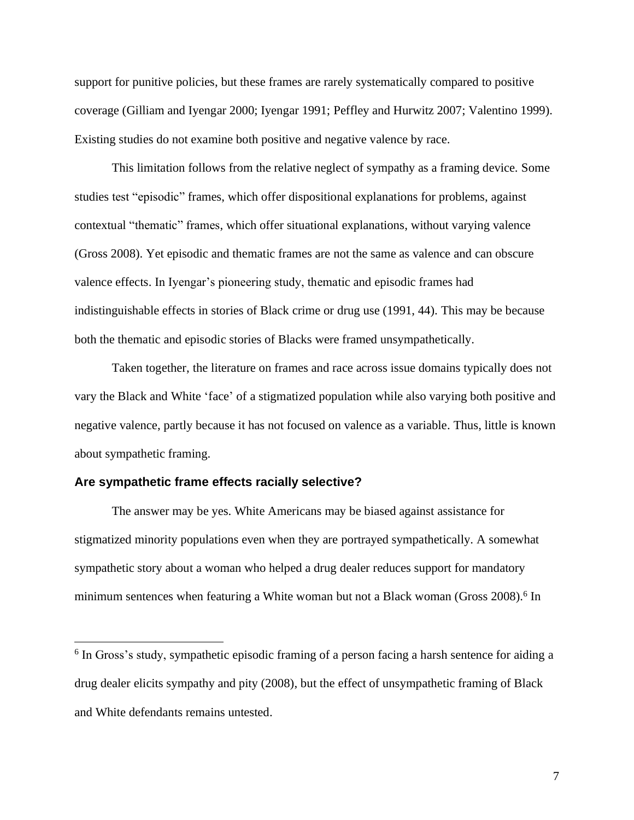support for punitive policies, but these frames are rarely systematically compared to positive coverage (Gilliam and Iyengar 2000; Iyengar 1991; Peffley and Hurwitz 2007; Valentino 1999). Existing studies do not examine both positive and negative valence by race.

This limitation follows from the relative neglect of sympathy as a framing device. Some studies test "episodic" frames, which offer dispositional explanations for problems, against contextual "thematic" frames, which offer situational explanations, without varying valence (Gross 2008). Yet episodic and thematic frames are not the same as valence and can obscure valence effects. In Iyengar's pioneering study, thematic and episodic frames had indistinguishable effects in stories of Black crime or drug use (1991, 44). This may be because both the thematic and episodic stories of Blacks were framed unsympathetically.

Taken together, the literature on frames and race across issue domains typically does not vary the Black and White 'face' of a stigmatized population while also varying both positive and negative valence, partly because it has not focused on valence as a variable. Thus, little is known about sympathetic framing.

#### **Are sympathetic frame effects racially selective?**

The answer may be yes. White Americans may be biased against assistance for stigmatized minority populations even when they are portrayed sympathetically. A somewhat sympathetic story about a woman who helped a drug dealer reduces support for mandatory minimum sentences when featuring a White woman but not a Black woman (Gross 2008).<sup>6</sup> In

<sup>&</sup>lt;sup>6</sup> In Gross's study, sympathetic episodic framing of a person facing a harsh sentence for aiding a drug dealer elicits sympathy and pity (2008), but the effect of unsympathetic framing of Black and White defendants remains untested.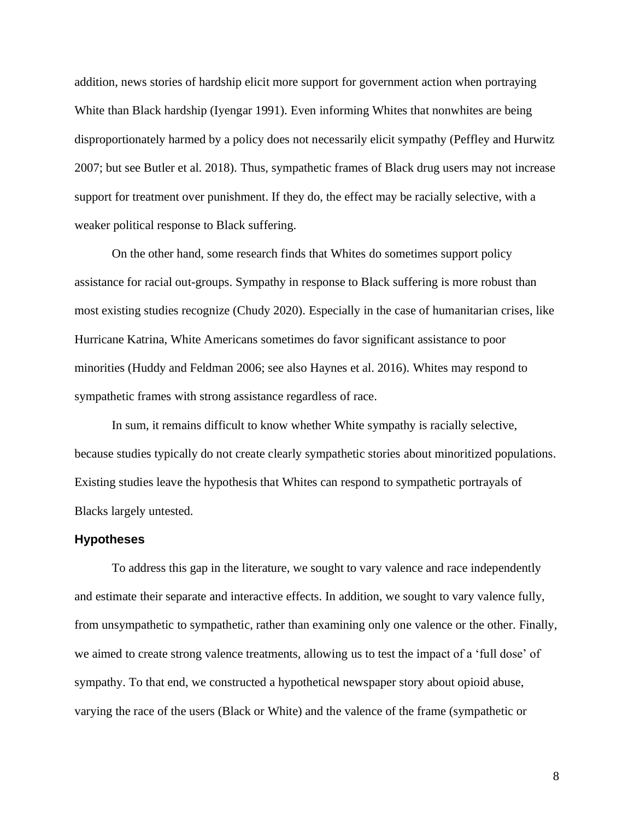addition, news stories of hardship elicit more support for government action when portraying White than Black hardship (Iyengar 1991). Even informing Whites that nonwhites are being disproportionately harmed by a policy does not necessarily elicit sympathy (Peffley and Hurwitz 2007; but see Butler et al. 2018). Thus, sympathetic frames of Black drug users may not increase support for treatment over punishment. If they do, the effect may be racially selective, with a weaker political response to Black suffering.

On the other hand, some research finds that Whites do sometimes support policy assistance for racial out-groups. Sympathy in response to Black suffering is more robust than most existing studies recognize (Chudy 2020). Especially in the case of humanitarian crises, like Hurricane Katrina, White Americans sometimes do favor significant assistance to poor minorities (Huddy and Feldman 2006; see also Haynes et al. 2016). Whites may respond to sympathetic frames with strong assistance regardless of race.

In sum, it remains difficult to know whether White sympathy is racially selective, because studies typically do not create clearly sympathetic stories about minoritized populations. Existing studies leave the hypothesis that Whites can respond to sympathetic portrayals of Blacks largely untested.

#### **Hypotheses**

To address this gap in the literature, we sought to vary valence and race independently and estimate their separate and interactive effects. In addition, we sought to vary valence fully, from unsympathetic to sympathetic, rather than examining only one valence or the other. Finally, we aimed to create strong valence treatments, allowing us to test the impact of a 'full dose' of sympathy. To that end, we constructed a hypothetical newspaper story about opioid abuse, varying the race of the users (Black or White) and the valence of the frame (sympathetic or

8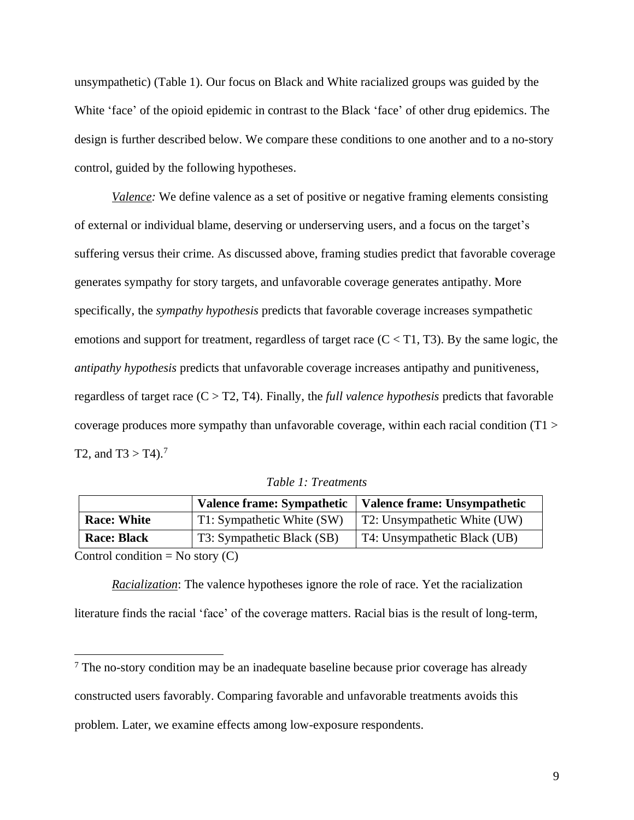unsympathetic) (Table 1). Our focus on Black and White racialized groups was guided by the White 'face' of the opioid epidemic in contrast to the Black 'face' of other drug epidemics. The design is further described below. We compare these conditions to one another and to a no-story control, guided by the following hypotheses.

*Valence:* We define valence as a set of positive or negative framing elements consisting of external or individual blame, deserving or underserving users, and a focus on the target's suffering versus their crime. As discussed above, framing studies predict that favorable coverage generates sympathy for story targets, and unfavorable coverage generates antipathy. More specifically, the *sympathy hypothesis* predicts that favorable coverage increases sympathetic emotions and support for treatment, regardless of target race  $(C < T1, T3)$ . By the same logic, the *antipathy hypothesis* predicts that unfavorable coverage increases antipathy and punitiveness, regardless of target race (C > T2, T4). Finally, the *full valence hypothesis* predicts that favorable coverage produces more sympathy than unfavorable coverage, within each racial condition (T1 > T2, and  $T3 > T4$ ).<sup>7</sup>

|  | Table 1: Treatments |
|--|---------------------|
|--|---------------------|

|                    | <b>Valence frame: Sympathetic</b> | Valence frame: Unsympathetic |
|--------------------|-----------------------------------|------------------------------|
| <b>Race: White</b> | T1: Sympathetic White (SW)        | T2: Unsympathetic White (UW) |
| <b>Race: Black</b> | T3: Sympathetic Black (SB)        | T4: Unsympathetic Black (UB) |

Control condition = No story  $(C)$ 

*Racialization*: The valence hypotheses ignore the role of race. Yet the racialization literature finds the racial 'face' of the coverage matters. Racial bias is the result of long-term,

<sup>&</sup>lt;sup>7</sup> The no-story condition may be an inadequate baseline because prior coverage has already constructed users favorably. Comparing favorable and unfavorable treatments avoids this problem. Later, we examine effects among low-exposure respondents.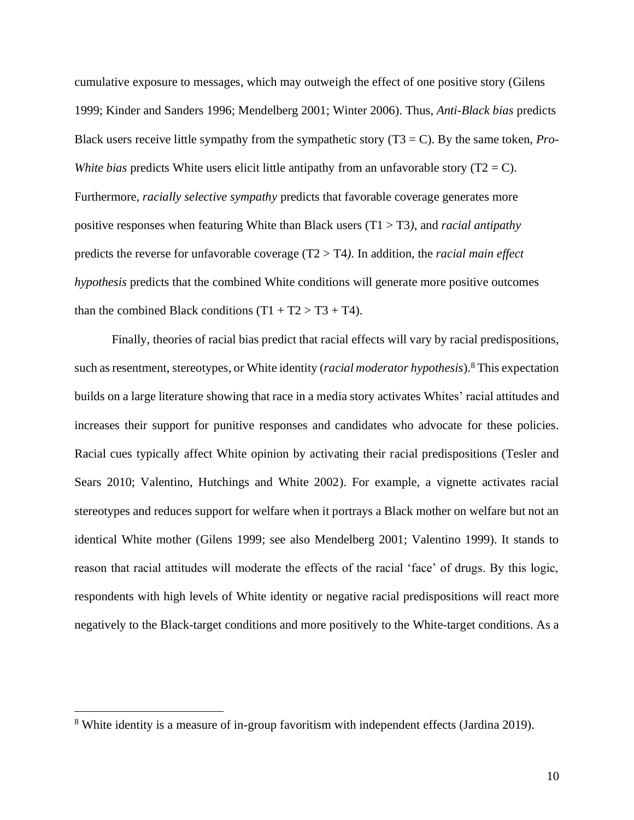cumulative exposure to messages, which may outweigh the effect of one positive story (Gilens 1999; Kinder and Sanders 1996; Mendelberg 2001; Winter 2006). Thus, *Anti-Black bias* predicts Black users receive little sympathy from the sympathetic story (T3 = C). By the same token, *Pro-White bias predicts White users elicit little antipathy from an unfavorable story (* $T2 = C$ *).* Furthermore, *racially selective sympathy* predicts that favorable coverage generates more positive responses when featuring White than Black users (T1 > T3*)*, and *racial antipathy* predicts the reverse for unfavorable coverage (T2 > T4*).* In addition, the *racial main effect hypothesis* predicts that the combined White conditions will generate more positive outcomes than the combined Black conditions  $(T1 + T2 > T3 + T4)$ .

Finally, theories of racial bias predict that racial effects will vary by racial predispositions, such as resentment, stereotypes, or White identity (*racial moderator hypothesis*). <sup>8</sup> This expectation builds on a large literature showing that race in a media story activates Whites' racial attitudes and increases their support for punitive responses and candidates who advocate for these policies. Racial cues typically affect White opinion by activating their racial predispositions (Tesler and Sears 2010; Valentino, Hutchings and White 2002). For example, a vignette activates racial stereotypes and reduces support for welfare when it portrays a Black mother on welfare but not an identical White mother (Gilens 1999; see also Mendelberg 2001; Valentino 1999). It stands to reason that racial attitudes will moderate the effects of the racial 'face' of drugs. By this logic, respondents with high levels of White identity or negative racial predispositions will react more negatively to the Black-target conditions and more positively to the White-target conditions. As a

<sup>8</sup> White identity is a measure of in-group favoritism with independent effects (Jardina 2019).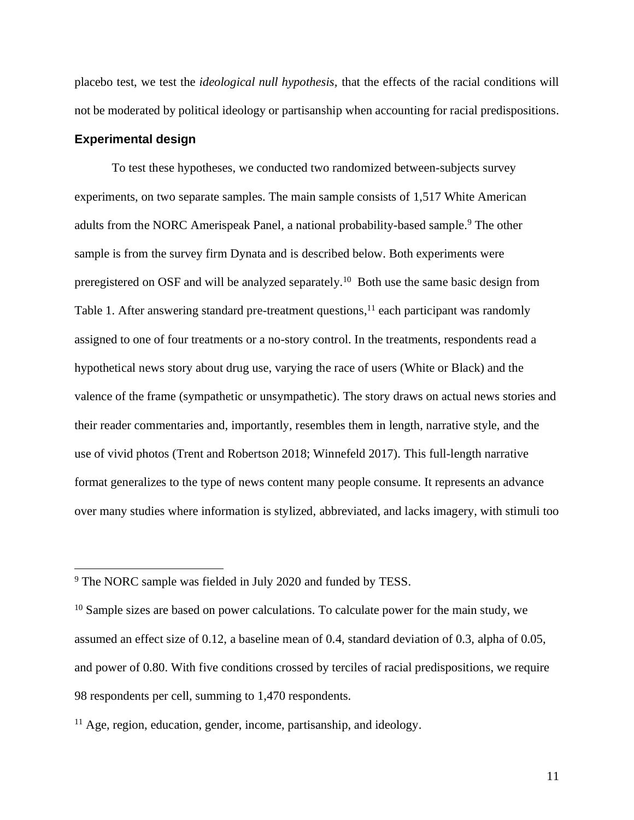placebo test, we test the *ideological null hypothesis,* that the effects of the racial conditions will not be moderated by political ideology or partisanship when accounting for racial predispositions.

## **Experimental design**

To test these hypotheses, we conducted two randomized between-subjects survey experiments, on two separate samples. The main sample consists of 1,517 White American adults from the NORC Amerispeak Panel, a national probability-based sample. <sup>9</sup> The other sample is from the survey firm Dynata and is described below. Both experiments were preregistered on OSF and will be analyzed separately.<sup>10</sup> Both use the same basic design from Table 1. After answering standard pre-treatment questions,<sup>11</sup> each participant was randomly assigned to one of four treatments or a no-story control. In the treatments, respondents read a hypothetical news story about drug use, varying the race of users (White or Black) and the valence of the frame (sympathetic or unsympathetic). The story draws on actual news stories and their reader commentaries and, importantly, resembles them in length, narrative style, and the use of vivid photos (Trent and Robertson 2018; Winnefeld 2017). This full-length narrative format generalizes to the type of news content many people consume. It represents an advance over many studies where information is stylized, abbreviated, and lacks imagery, with stimuli too

<sup>9</sup> The NORC sample was fielded in July 2020 and funded by TESS.

 $10$  Sample sizes are based on power calculations. To calculate power for the main study, we assumed an effect size of 0.12, a baseline mean of 0.4, standard deviation of 0.3, alpha of 0.05, and power of 0.80. With five conditions crossed by terciles of racial predispositions, we require 98 respondents per cell, summing to 1,470 respondents.

<sup>&</sup>lt;sup>11</sup> Age, region, education, gender, income, partisanship, and ideology.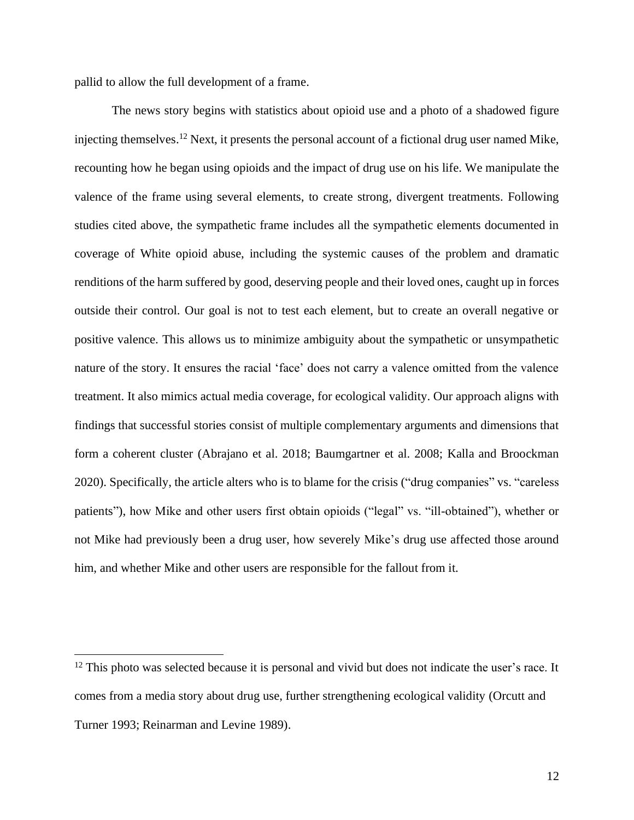pallid to allow the full development of a frame.

The news story begins with statistics about opioid use and a photo of a shadowed figure injecting themselves. <sup>12</sup> Next, it presents the personal account of a fictional drug user named Mike, recounting how he began using opioids and the impact of drug use on his life. We manipulate the valence of the frame using several elements, to create strong, divergent treatments. Following studies cited above, the sympathetic frame includes all the sympathetic elements documented in coverage of White opioid abuse, including the systemic causes of the problem and dramatic renditions of the harm suffered by good, deserving people and their loved ones, caught up in forces outside their control. Our goal is not to test each element, but to create an overall negative or positive valence. This allows us to minimize ambiguity about the sympathetic or unsympathetic nature of the story. It ensures the racial 'face' does not carry a valence omitted from the valence treatment. It also mimics actual media coverage, for ecological validity. Our approach aligns with findings that successful stories consist of multiple complementary arguments and dimensions that form a coherent cluster (Abrajano et al. 2018; Baumgartner et al. 2008; Kalla and Broockman 2020). Specifically, the article alters who is to blame for the crisis ("drug companies" vs. "careless patients"), how Mike and other users first obtain opioids ("legal" vs. "ill-obtained"), whether or not Mike had previously been a drug user, how severely Mike's drug use affected those around him, and whether Mike and other users are responsible for the fallout from it.

 $12$  This photo was selected because it is personal and vivid but does not indicate the user's race. It comes from a media story about drug use, further strengthening ecological validity (Orcutt and Turner 1993; Reinarman and Levine 1989).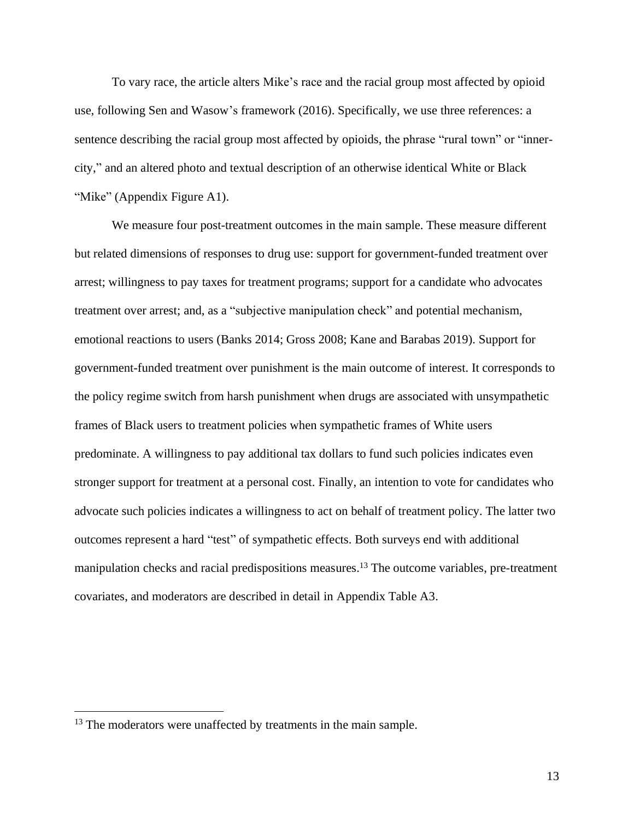To vary race, the article alters Mike's race and the racial group most affected by opioid use, following Sen and Wasow's framework (2016). Specifically, we use three references: a sentence describing the racial group most affected by opioids, the phrase "rural town" or "innercity," and an altered photo and textual description of an otherwise identical White or Black "Mike" (Appendix Figure A1).

We measure four post-treatment outcomes in the main sample. These measure different but related dimensions of responses to drug use: support for government-funded treatment over arrest; willingness to pay taxes for treatment programs; support for a candidate who advocates treatment over arrest; and, as a "subjective manipulation check" and potential mechanism, emotional reactions to users (Banks 2014; Gross 2008; Kane and Barabas 2019). Support for government-funded treatment over punishment is the main outcome of interest. It corresponds to the policy regime switch from harsh punishment when drugs are associated with unsympathetic frames of Black users to treatment policies when sympathetic frames of White users predominate. A willingness to pay additional tax dollars to fund such policies indicates even stronger support for treatment at a personal cost. Finally, an intention to vote for candidates who advocate such policies indicates a willingness to act on behalf of treatment policy. The latter two outcomes represent a hard "test" of sympathetic effects. Both surveys end with additional manipulation checks and racial predispositions measures.<sup>13</sup> The outcome variables, pre-treatment covariates, and moderators are described in detail in Appendix Table A3.

<sup>&</sup>lt;sup>13</sup> The moderators were unaffected by treatments in the main sample.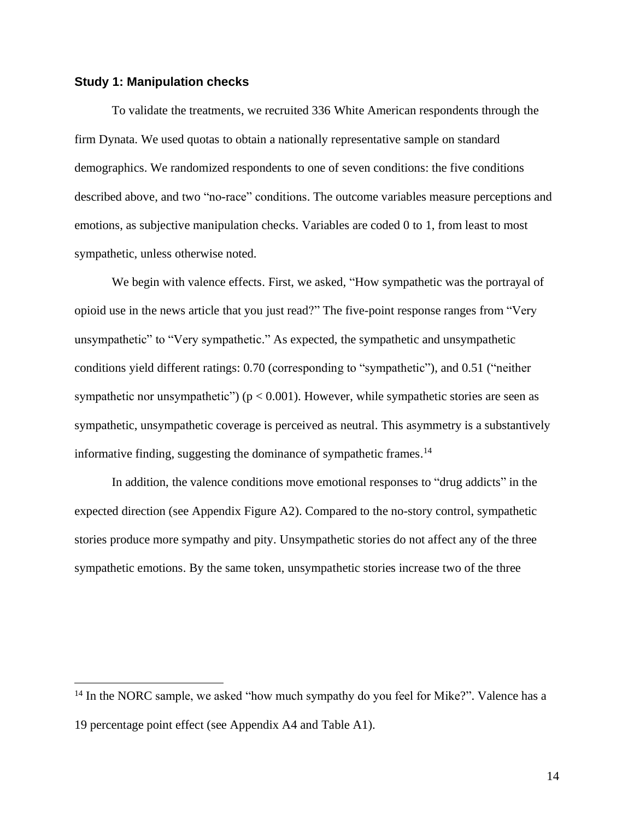## **Study 1: Manipulation checks**

To validate the treatments, we recruited 336 White American respondents through the firm Dynata. We used quotas to obtain a nationally representative sample on standard demographics. We randomized respondents to one of seven conditions: the five conditions described above, and two "no-race" conditions. The outcome variables measure perceptions and emotions, as subjective manipulation checks. Variables are coded 0 to 1, from least to most sympathetic, unless otherwise noted.

We begin with valence effects. First, we asked, "How sympathetic was the portrayal of opioid use in the news article that you just read?" The five-point response ranges from "Very unsympathetic" to "Very sympathetic." As expected, the sympathetic and unsympathetic conditions yield different ratings: 0.70 (corresponding to "sympathetic"), and 0.51 ("neither sympathetic nor unsympathetic") ( $p < 0.001$ ). However, while sympathetic stories are seen as sympathetic, unsympathetic coverage is perceived as neutral. This asymmetry is a substantively informative finding, suggesting the dominance of sympathetic frames. 14

In addition, the valence conditions move emotional responses to "drug addicts" in the expected direction (see Appendix Figure A2). Compared to the no-story control, sympathetic stories produce more sympathy and pity. Unsympathetic stories do not affect any of the three sympathetic emotions. By the same token, unsympathetic stories increase two of the three

<sup>&</sup>lt;sup>14</sup> In the NORC sample, we asked "how much sympathy do you feel for Mike?". Valence has a 19 percentage point effect (see Appendix A4 and Table A1).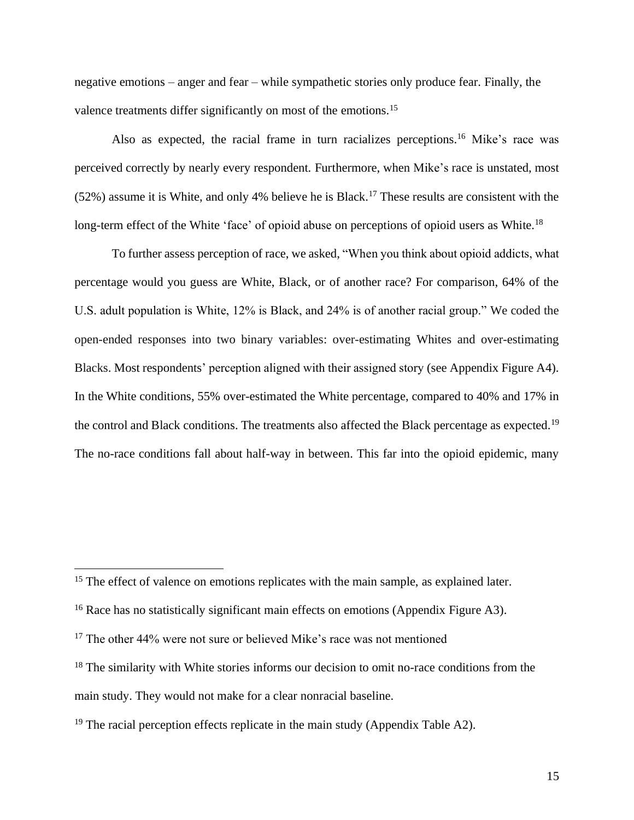negative emotions – anger and fear – while sympathetic stories only produce fear. Finally, the valence treatments differ significantly on most of the emotions.<sup>15</sup>

Also as expected, the racial frame in turn racializes perceptions.<sup>16</sup> Mike's race was perceived correctly by nearly every respondent. Furthermore, when Mike's race is unstated, most  $(52%)$  assume it is White, and only 4% believe he is Black.<sup>17</sup> These results are consistent with the long-term effect of the White 'face' of opioid abuse on perceptions of opioid users as White.<sup>18</sup>

To further assess perception of race, we asked, "When you think about opioid addicts, what percentage would you guess are White, Black, or of another race? For comparison, 64% of the U.S. adult population is White, 12% is Black, and 24% is of another racial group." We coded the open-ended responses into two binary variables: over-estimating Whites and over-estimating Blacks. Most respondents' perception aligned with their assigned story (see Appendix Figure A4). In the White conditions, 55% over-estimated the White percentage, compared to 40% and 17% in the control and Black conditions. The treatments also affected the Black percentage as expected.<sup>19</sup> The no-race conditions fall about half-way in between. This far into the opioid epidemic, many

<sup>&</sup>lt;sup>15</sup> The effect of valence on emotions replicates with the main sample, as explained later.

<sup>&</sup>lt;sup>16</sup> Race has no statistically significant main effects on emotions (Appendix Figure A3).

<sup>&</sup>lt;sup>17</sup> The other 44% were not sure or believed Mike's race was not mentioned

 $18$  The similarity with White stories informs our decision to omit no-race conditions from the main study. They would not make for a clear nonracial baseline.

<sup>&</sup>lt;sup>19</sup> The racial perception effects replicate in the main study (Appendix Table A2).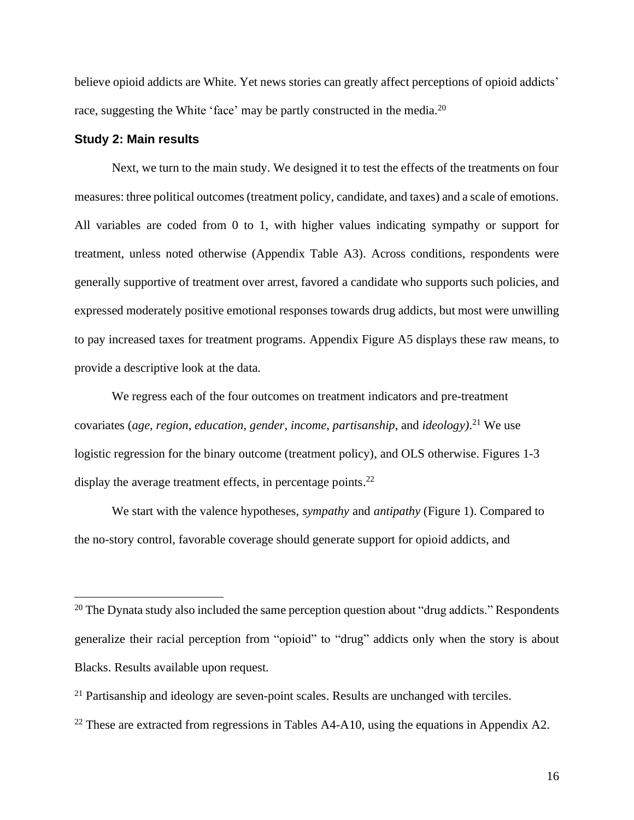believe opioid addicts are White. Yet news stories can greatly affect perceptions of opioid addicts' race, suggesting the White 'face' may be partly constructed in the media.<sup>20</sup>

## **Study 2: Main results**

Next, we turn to the main study. We designed it to test the effects of the treatments on four measures: three political outcomes (treatment policy, candidate, and taxes) and a scale of emotions. All variables are coded from 0 to 1, with higher values indicating sympathy or support for treatment, unless noted otherwise (Appendix Table A3). Across conditions, respondents were generally supportive of treatment over arrest, favored a candidate who supports such policies, and expressed moderately positive emotional responses towards drug addicts, but most were unwilling to pay increased taxes for treatment programs. Appendix Figure A5 displays these raw means, to provide a descriptive look at the data.

We regress each of the four outcomes on treatment indicators and pre-treatment covariates (*age, region, education, gender*, *income*, *partisanship*, and *ideology)*. <sup>21</sup> We use logistic regression for the binary outcome (treatment policy), and OLS otherwise. Figures 1-3 display the average treatment effects, in percentage points.<sup>22</sup>

We start with the valence hypotheses, *sympathy* and *antipathy* (Figure 1). Compared to the no-story control, favorable coverage should generate support for opioid addicts, and

<sup>22</sup> These are extracted from regressions in Tables A4-A10, using the equations in Appendix A2.

 $20$  The Dynata study also included the same perception question about "drug addicts." Respondents generalize their racial perception from "opioid" to "drug" addicts only when the story is about Blacks. Results available upon request.

<sup>&</sup>lt;sup>21</sup> Partisanship and ideology are seven-point scales. Results are unchanged with terciles.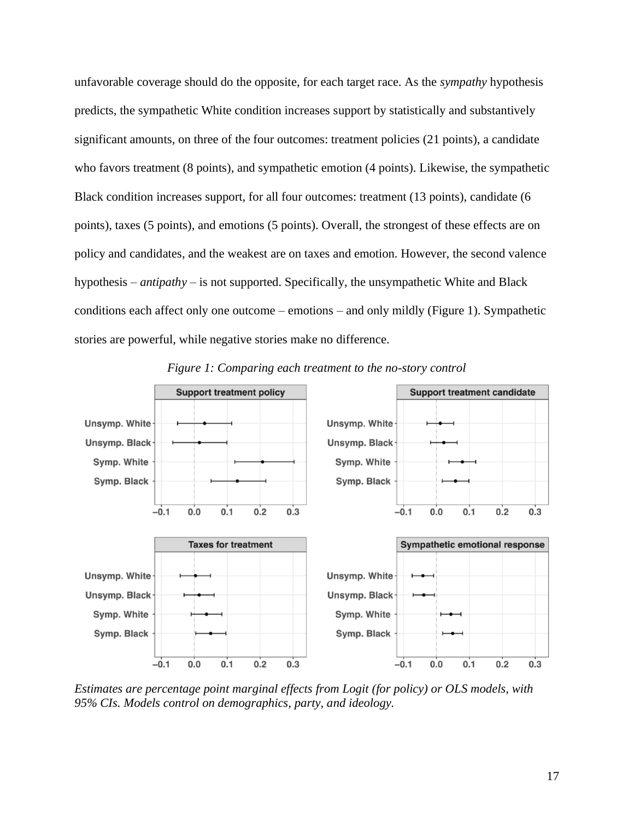unfavorable coverage should do the opposite, for each target race. As the *sympathy* hypothesis predicts, the sympathetic White condition increases support by statistically and substantively significant amounts, on three of the four outcomes: treatment policies (21 points), a candidate who favors treatment (8 points), and sympathetic emotion (4 points). Likewise, the sympathetic Black condition increases support, for all four outcomes: treatment (13 points), candidate (6 points), taxes (5 points), and emotions (5 points). Overall, the strongest of these effects are on policy and candidates, and the weakest are on taxes and emotion. However, the second valence hypothesis – *antipathy* – is not supported. Specifically, the unsympathetic White and Black conditions each affect only one outcome – emotions – and only mildly (Figure 1). Sympathetic stories are powerful, while negative stories make no difference.



*Figure 1: Comparing each treatment to the no-story control*

*Estimates are percentage point marginal effects from Logit (for policy) or OLS models, with 95% CIs. Models control on demographics, party, and ideology.*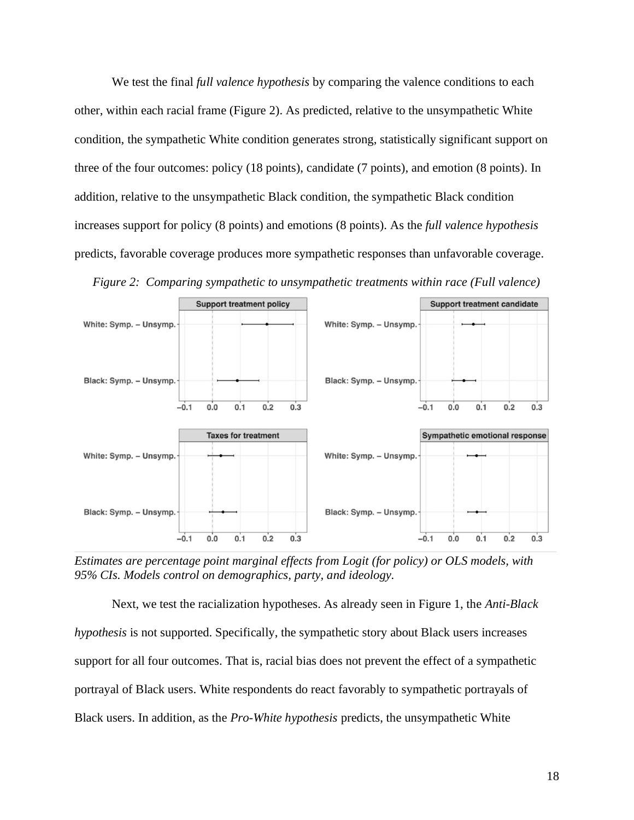We test the final *full valence hypothesis* by comparing the valence conditions to each other, within each racial frame (Figure 2). As predicted, relative to the unsympathetic White condition, the sympathetic White condition generates strong, statistically significant support on three of the four outcomes: policy (18 points), candidate (7 points), and emotion (8 points). In addition, relative to the unsympathetic Black condition, the sympathetic Black condition increases support for policy (8 points) and emotions (8 points). As the *full valence hypothesis* predicts, favorable coverage produces more sympathetic responses than unfavorable coverage.





*Estimates are percentage point marginal effects from Logit (for policy) or OLS models, with 95% CIs. Models control on demographics, party, and ideology.*

Next, we test the racialization hypotheses. As already seen in Figure 1, the *Anti-Black hypothesis* is not supported. Specifically, the sympathetic story about Black users increases support for all four outcomes. That is, racial bias does not prevent the effect of a sympathetic portrayal of Black users. White respondents do react favorably to sympathetic portrayals of Black users. In addition, as the *Pro-White hypothesis* predicts, the unsympathetic White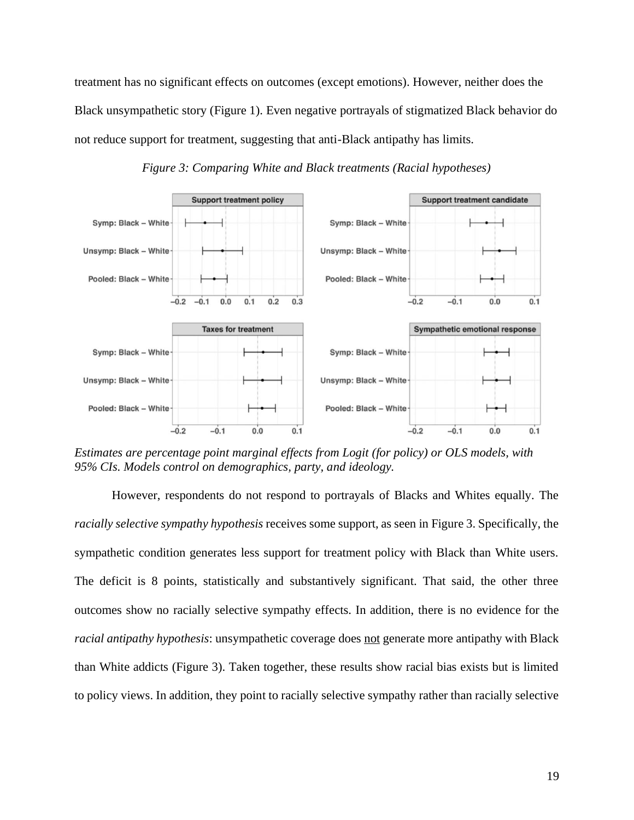treatment has no significant effects on outcomes (except emotions). However, neither does the Black unsympathetic story (Figure 1). Even negative portrayals of stigmatized Black behavior do not reduce support for treatment, suggesting that anti-Black antipathy has limits.



*Figure 3: Comparing White and Black treatments (Racial hypotheses)*

*Estimates are percentage point marginal effects from Logit (for policy) or OLS models, with 95% CIs. Models control on demographics, party, and ideology.* 

However, respondents do not respond to portrayals of Blacks and Whites equally. The *racially selective sympathy hypothesis* receives some support, as seen in Figure 3. Specifically, the sympathetic condition generates less support for treatment policy with Black than White users. The deficit is 8 points, statistically and substantively significant. That said, the other three outcomes show no racially selective sympathy effects. In addition, there is no evidence for the *racial antipathy hypothesis*: unsympathetic coverage does not generate more antipathy with Black than White addicts (Figure 3). Taken together, these results show racial bias exists but is limited to policy views. In addition, they point to racially selective sympathy rather than racially selective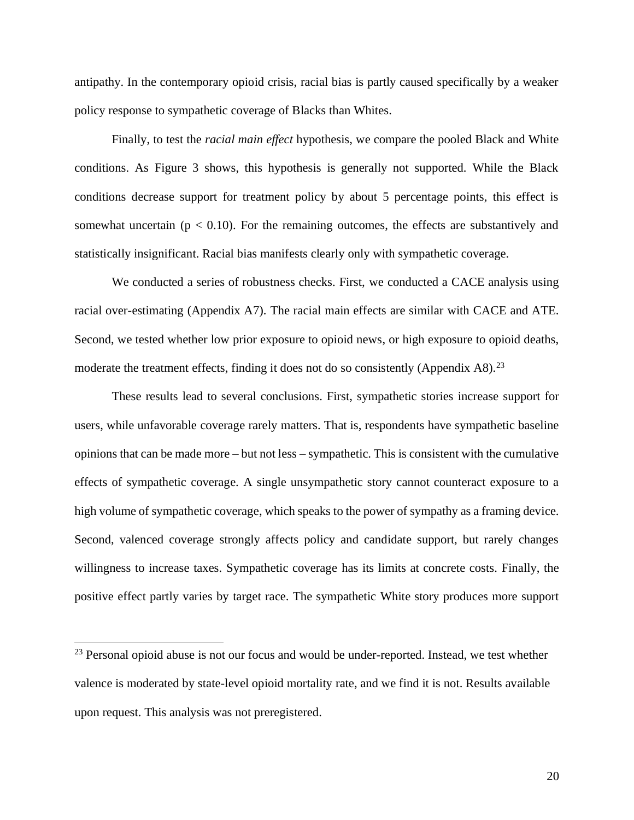antipathy. In the contemporary opioid crisis, racial bias is partly caused specifically by a weaker policy response to sympathetic coverage of Blacks than Whites.

Finally, to test the *racial main effect* hypothesis, we compare the pooled Black and White conditions. As Figure 3 shows, this hypothesis is generally not supported. While the Black conditions decrease support for treatment policy by about 5 percentage points, this effect is somewhat uncertain ( $p < 0.10$ ). For the remaining outcomes, the effects are substantively and statistically insignificant. Racial bias manifests clearly only with sympathetic coverage.

We conducted a series of robustness checks. First, we conducted a CACE analysis using racial over-estimating (Appendix A7). The racial main effects are similar with CACE and ATE. Second, we tested whether low prior exposure to opioid news, or high exposure to opioid deaths, moderate the treatment effects, finding it does not do so consistently (Appendix A8).<sup>23</sup>

These results lead to several conclusions. First, sympathetic stories increase support for users, while unfavorable coverage rarely matters. That is, respondents have sympathetic baseline opinions that can be made more – but not less – sympathetic. This is consistent with the cumulative effects of sympathetic coverage. A single unsympathetic story cannot counteract exposure to a high volume of sympathetic coverage, which speaks to the power of sympathy as a framing device. Second, valenced coverage strongly affects policy and candidate support, but rarely changes willingness to increase taxes. Sympathetic coverage has its limits at concrete costs. Finally, the positive effect partly varies by target race. The sympathetic White story produces more support

<sup>&</sup>lt;sup>23</sup> Personal opioid abuse is not our focus and would be under-reported. Instead, we test whether valence is moderated by state-level opioid mortality rate, and we find it is not. Results available upon request. This analysis was not preregistered.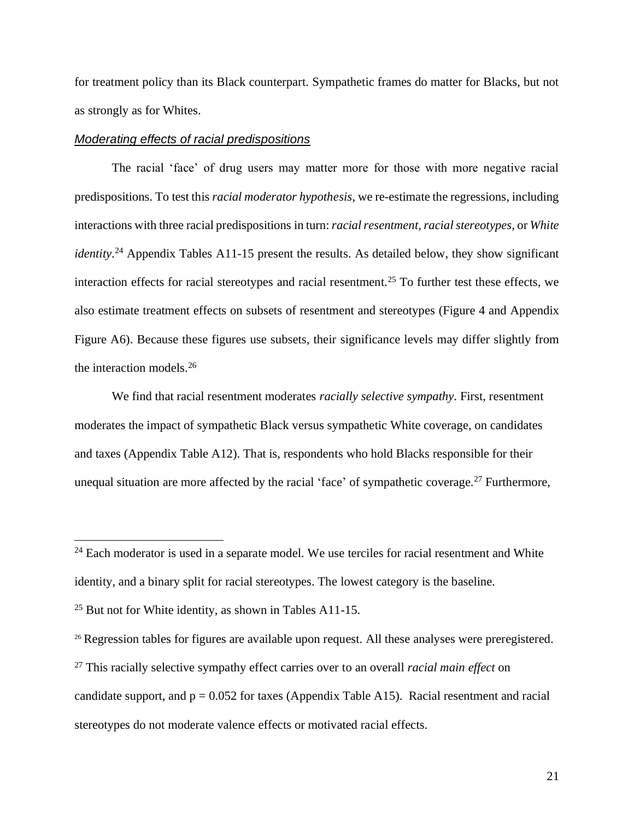for treatment policy than its Black counterpart. Sympathetic frames do matter for Blacks, but not as strongly as for Whites.

## *Moderating effects of racial predispositions*

The racial 'face' of drug users may matter more for those with more negative racial predispositions. To test this *racial moderator hypothesis*, we re-estimate the regressions, including interactions with three racial predispositions in turn: *racial resentment, racial stereotypes*, or *White identity*. <sup>24</sup> Appendix Tables A11-15 present the results. As detailed below, they show significant interaction effects for racial stereotypes and racial resentment.<sup>25</sup> To further test these effects, we also estimate treatment effects on subsets of resentment and stereotypes (Figure 4 and Appendix Figure A6). Because these figures use subsets, their significance levels may differ slightly from the interaction models. 26

We find that racial resentment moderates *racially selective sympathy*. First, resentment moderates the impact of sympathetic Black versus sympathetic White coverage, on candidates and taxes (Appendix Table A12). That is, respondents who hold Blacks responsible for their unequal situation are more affected by the racial 'face' of sympathetic coverage.<sup>27</sup> Furthermore,

 $24$  Each moderator is used in a separate model. We use terciles for racial resentment and White identity, and a binary split for racial stereotypes. The lowest category is the baseline.

 $25$  But not for White identity, as shown in Tables A11-15.

<sup>&</sup>lt;sup>26</sup> Regression tables for figures are available upon request. All these analyses were preregistered. <sup>27</sup> This racially selective sympathy effect carries over to an overall *racial main effect* on candidate support, and  $p = 0.052$  for taxes (Appendix Table A15). Racial resentment and racial stereotypes do not moderate valence effects or motivated racial effects.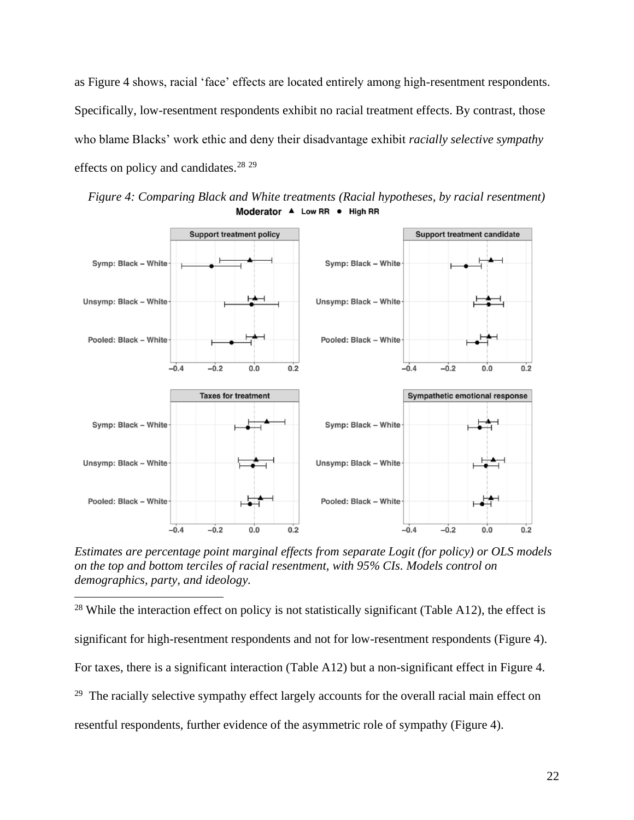as Figure 4 shows, racial 'face' effects are located entirely among high-resentment respondents. Specifically, low-resentment respondents exhibit no racial treatment effects. By contrast, those who blame Blacks' work ethic and deny their disadvantage exhibit *racially selective sympathy* effects on policy and candidates.<sup>28</sup> <sup>29</sup>



*Figure 4: Comparing Black and White treatments (Racial hypotheses, by racial resentment)* Moderator ▲ Low RR ● High RR

*Estimates are percentage point marginal effects from separate Logit (for policy) or OLS models on the top and bottom terciles of racial resentment, with 95% CIs. Models control on demographics, party, and ideology.* 

 $28$  While the interaction effect on policy is not statistically significant (Table A12), the effect is significant for high-resentment respondents and not for low-resentment respondents (Figure 4). For taxes, there is a significant interaction (Table A12) but a non-significant effect in Figure 4. <sup>29</sup> The racially selective sympathy effect largely accounts for the overall racial main effect on resentful respondents, further evidence of the asymmetric role of sympathy (Figure 4).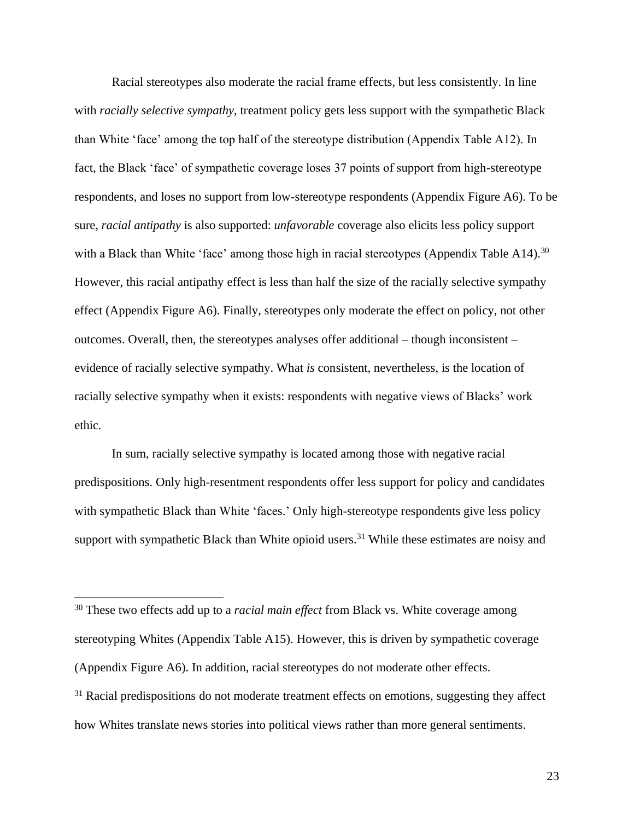Racial stereotypes also moderate the racial frame effects, but less consistently. In line with *racially selective sympathy*, treatment policy gets less support with the sympathetic Black than White 'face' among the top half of the stereotype distribution (Appendix Table A12). In fact, the Black 'face' of sympathetic coverage loses 37 points of support from high-stereotype respondents, and loses no support from low-stereotype respondents (Appendix Figure A6). To be sure, *racial antipathy* is also supported: *unfavorable* coverage also elicits less policy support with a Black than White 'face' among those high in racial stereotypes (Appendix Table A14).<sup>30</sup> However, this racial antipathy effect is less than half the size of the racially selective sympathy effect (Appendix Figure A6). Finally, stereotypes only moderate the effect on policy, not other outcomes. Overall, then, the stereotypes analyses offer additional – though inconsistent – evidence of racially selective sympathy. What *is* consistent, nevertheless, is the location of racially selective sympathy when it exists: respondents with negative views of Blacks' work ethic.

In sum, racially selective sympathy is located among those with negative racial predispositions. Only high-resentment respondents offer less support for policy and candidates with sympathetic Black than White 'faces.' Only high-stereotype respondents give less policy support with sympathetic Black than White opioid users.<sup>31</sup> While these estimates are noisy and

<sup>30</sup> These two effects add up to a *racial main effect* from Black vs. White coverage among stereotyping Whites (Appendix Table A15). However, this is driven by sympathetic coverage (Appendix Figure A6). In addition, racial stereotypes do not moderate other effects. <sup>31</sup> Racial predispositions do not moderate treatment effects on emotions, suggesting they affect how Whites translate news stories into political views rather than more general sentiments.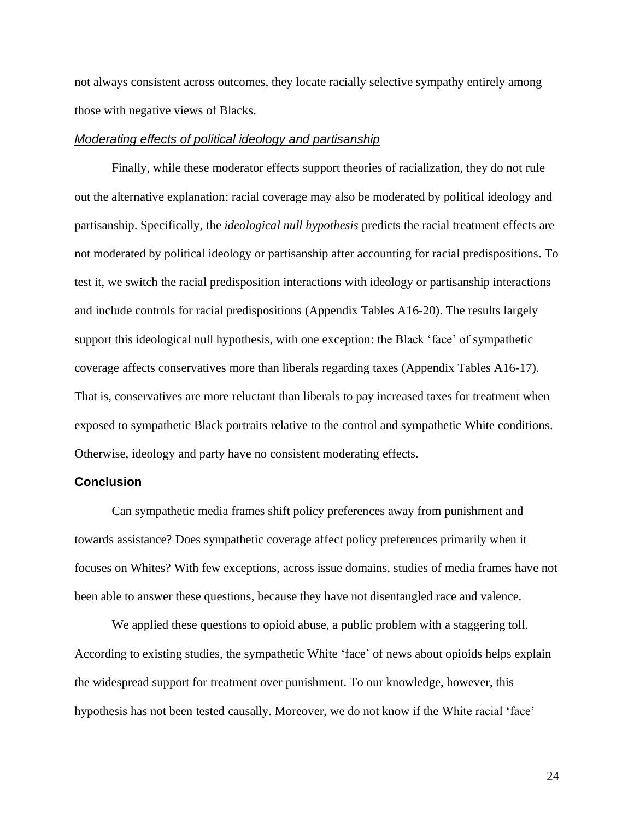not always consistent across outcomes, they locate racially selective sympathy entirely among those with negative views of Blacks.

#### *Moderating effects of political ideology and partisanship*

Finally, while these moderator effects support theories of racialization, they do not rule out the alternative explanation: racial coverage may also be moderated by political ideology and partisanship. Specifically, the *ideological null hypothesis* predicts the racial treatment effects are not moderated by political ideology or partisanship after accounting for racial predispositions. To test it, we switch the racial predisposition interactions with ideology or partisanship interactions and include controls for racial predispositions (Appendix Tables A16-20). The results largely support this ideological null hypothesis, with one exception: the Black 'face' of sympathetic coverage affects conservatives more than liberals regarding taxes (Appendix Tables A16-17). That is, conservatives are more reluctant than liberals to pay increased taxes for treatment when exposed to sympathetic Black portraits relative to the control and sympathetic White conditions. Otherwise, ideology and party have no consistent moderating effects.

#### **Conclusion**

Can sympathetic media frames shift policy preferences away from punishment and towards assistance? Does sympathetic coverage affect policy preferences primarily when it focuses on Whites? With few exceptions, across issue domains, studies of media frames have not been able to answer these questions, because they have not disentangled race and valence.

We applied these questions to opioid abuse, a public problem with a staggering toll. According to existing studies, the sympathetic White 'face' of news about opioids helps explain the widespread support for treatment over punishment. To our knowledge, however, this hypothesis has not been tested causally. Moreover, we do not know if the White racial 'face'

24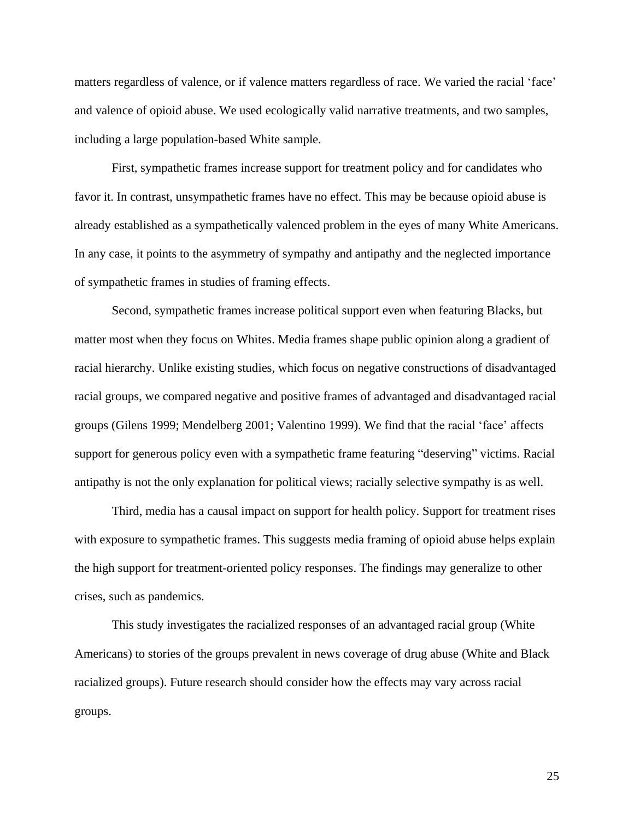matters regardless of valence, or if valence matters regardless of race. We varied the racial 'face' and valence of opioid abuse. We used ecologically valid narrative treatments, and two samples, including a large population-based White sample.

First, sympathetic frames increase support for treatment policy and for candidates who favor it. In contrast, unsympathetic frames have no effect. This may be because opioid abuse is already established as a sympathetically valenced problem in the eyes of many White Americans. In any case, it points to the asymmetry of sympathy and antipathy and the neglected importance of sympathetic frames in studies of framing effects.

Second, sympathetic frames increase political support even when featuring Blacks, but matter most when they focus on Whites. Media frames shape public opinion along a gradient of racial hierarchy. Unlike existing studies, which focus on negative constructions of disadvantaged racial groups, we compared negative and positive frames of advantaged and disadvantaged racial groups (Gilens 1999; Mendelberg 2001; Valentino 1999). We find that the racial 'face' affects support for generous policy even with a sympathetic frame featuring "deserving" victims. Racial antipathy is not the only explanation for political views; racially selective sympathy is as well.

Third, media has a causal impact on support for health policy. Support for treatment rises with exposure to sympathetic frames. This suggests media framing of opioid abuse helps explain the high support for treatment-oriented policy responses. The findings may generalize to other crises, such as pandemics.

This study investigates the racialized responses of an advantaged racial group (White Americans) to stories of the groups prevalent in news coverage of drug abuse (White and Black racialized groups). Future research should consider how the effects may vary across racial groups.

25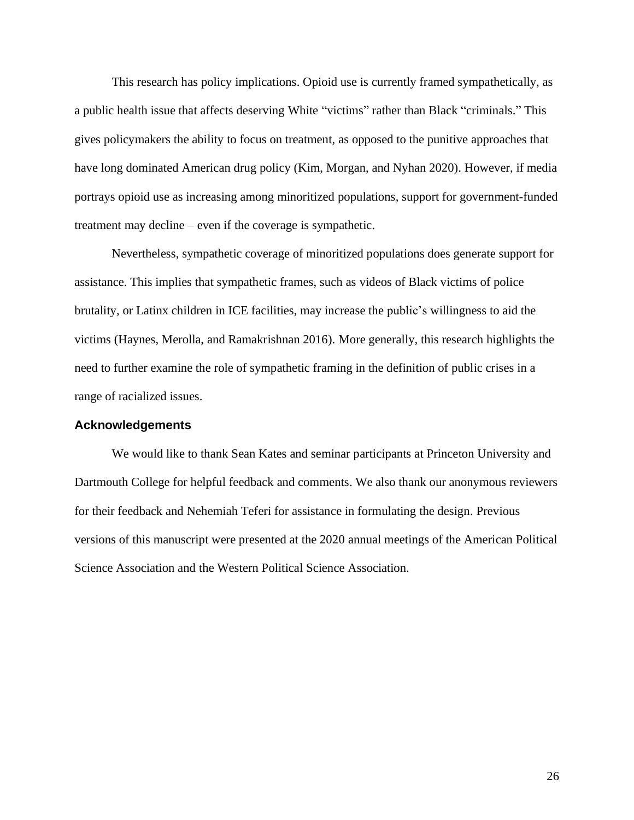This research has policy implications. Opioid use is currently framed sympathetically, as a public health issue that affects deserving White "victims" rather than Black "criminals." This gives policymakers the ability to focus on treatment, as opposed to the punitive approaches that have long dominated American drug policy (Kim, Morgan, and Nyhan 2020). However, if media portrays opioid use as increasing among minoritized populations, support for government-funded treatment may decline – even if the coverage is sympathetic.

Nevertheless, sympathetic coverage of minoritized populations does generate support for assistance. This implies that sympathetic frames, such as videos of Black victims of police brutality, or Latinx children in ICE facilities, may increase the public's willingness to aid the victims (Haynes, Merolla, and Ramakrishnan 2016). More generally, this research highlights the need to further examine the role of sympathetic framing in the definition of public crises in a range of racialized issues.

#### **Acknowledgements**

We would like to thank Sean Kates and seminar participants at Princeton University and Dartmouth College for helpful feedback and comments. We also thank our anonymous reviewers for their feedback and Nehemiah Teferi for assistance in formulating the design. Previous versions of this manuscript were presented at the 2020 annual meetings of the American Political Science Association and the Western Political Science Association.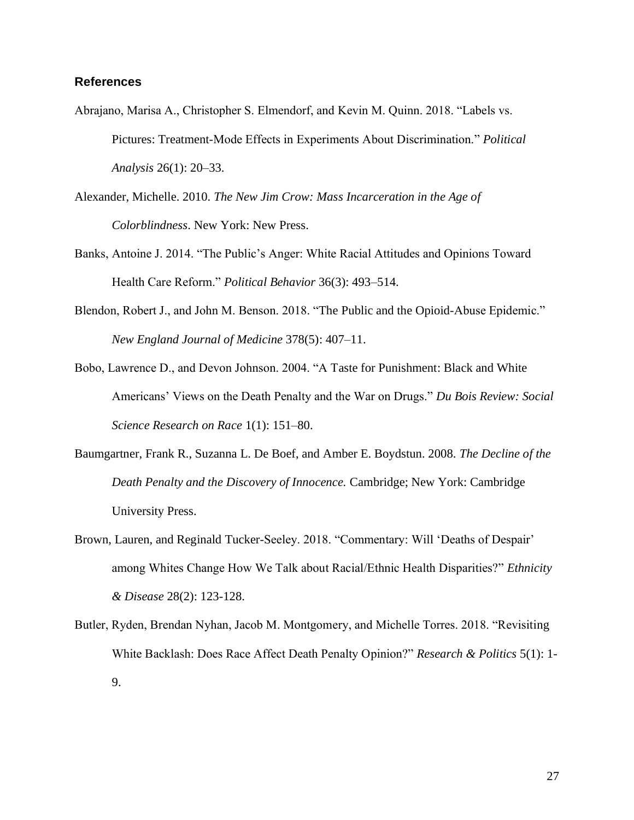## **References**

- Abrajano, Marisa A., Christopher S. Elmendorf, and Kevin M. Quinn. 2018. "Labels vs. Pictures: Treatment-Mode Effects in Experiments About Discrimination." *Political Analysis* 26(1): 20–33.
- Alexander, Michelle. 2010. *The New Jim Crow: Mass Incarceration in the Age of Colorblindness*. New York: New Press.
- Banks, Antoine J. 2014. "The Public's Anger: White Racial Attitudes and Opinions Toward Health Care Reform." *Political Behavior* 36(3): 493–514.
- Blendon, Robert J., and John M. Benson. 2018. "The Public and the Opioid-Abuse Epidemic." *New England Journal of Medicine* 378(5): 407–11.
- Bobo, Lawrence D., and Devon Johnson. 2004. "A Taste for Punishment: Black and White Americans' Views on the Death Penalty and the War on Drugs." *Du Bois Review: Social Science Research on Race* 1(1): 151–80.
- Baumgartner, Frank R., Suzanna L. De Boef, and Amber E. Boydstun. 2008. *The Decline of the Death Penalty and the Discovery of Innocence.* Cambridge; New York: Cambridge University Press.
- Brown, Lauren, and Reginald Tucker-Seeley. 2018. "Commentary: Will 'Deaths of Despair' among Whites Change How We Talk about Racial/Ethnic Health Disparities?" *Ethnicity & Disease* 28(2): 123-128.
- Butler, Ryden, Brendan Nyhan, Jacob M. Montgomery, and Michelle Torres. 2018. "Revisiting White Backlash: Does Race Affect Death Penalty Opinion?" *Research & Politics* 5(1): 1- 9.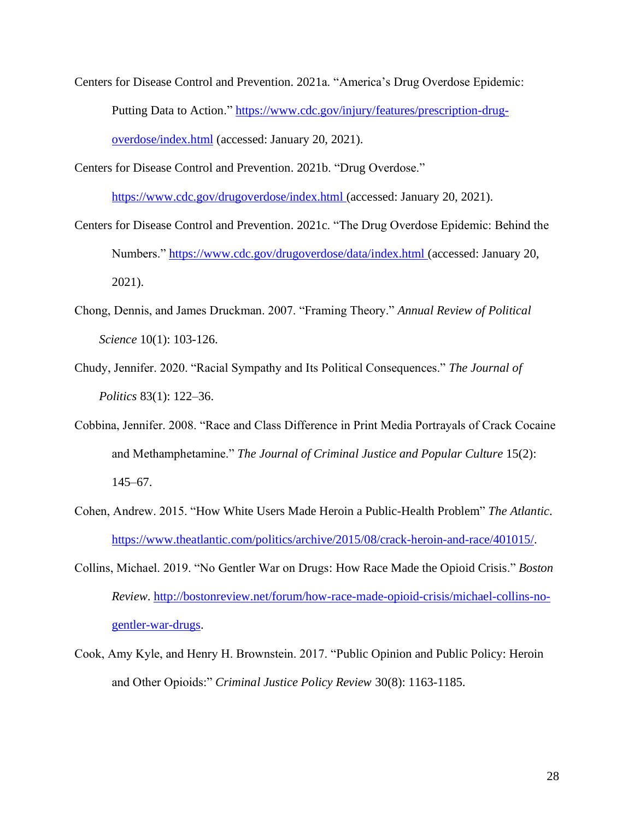- Centers for Disease Control and Prevention. 2021a. "America's Drug Overdose Epidemic: Putting Data to Action." [https://www.cdc.gov/injury/features/prescription-drug](https://www.cdc.gov/injury/features/prescription-drug-overdose/index.html)[overdose/index.html](https://www.cdc.gov/injury/features/prescription-drug-overdose/index.html) (accessed: January 20, 2021).
- Centers for Disease Control and Prevention. 2021b. "Drug Overdose."

<https://www.cdc.gov/drugoverdose/index.html> (accessed: January 20, 2021).

- Centers for Disease Control and Prevention. 2021c. "The Drug Overdose Epidemic: Behind the Numbers."<https://www.cdc.gov/drugoverdose/data/index.html> (accessed: January 20, 2021).
- Chong, Dennis, and James Druckman. 2007. "Framing Theory." *Annual Review of Political Science* 10(1): 103-126.
- Chudy, Jennifer. 2020. "Racial Sympathy and Its Political Consequences." *The Journal of Politics* 83(1): 122–36.
- Cobbina, Jennifer. 2008. "Race and Class Difference in Print Media Portrayals of Crack Cocaine and Methamphetamine." *The Journal of Criminal Justice and Popular Culture* 15(2): 145–67.
- Cohen, Andrew. 2015. "How White Users Made Heroin a Public-Health Problem" *The Atlantic*. [https://www.theatlantic.com/politics/archive/2015/08/crack-heroin-and-race/401015/.](https://www.theatlantic.com/politics/archive/2015/08/crack-heroin-and-race/401015/)
- Collins, Michael. 2019. "No Gentler War on Drugs: How Race Made the Opioid Crisis." *Boston Review*. [http://bostonreview.net/forum/how-race-made-opioid-crisis/michael-collins-no](http://bostonreview.net/forum/how-race-made-opioid-crisis/michael-collins-no-gentler-war-drugs)[gentler-war-drugs.](http://bostonreview.net/forum/how-race-made-opioid-crisis/michael-collins-no-gentler-war-drugs)
- Cook, Amy Kyle, and Henry H. Brownstein. 2017. "Public Opinion and Public Policy: Heroin and Other Opioids:" *Criminal Justice Policy Review* 30(8): 1163-1185.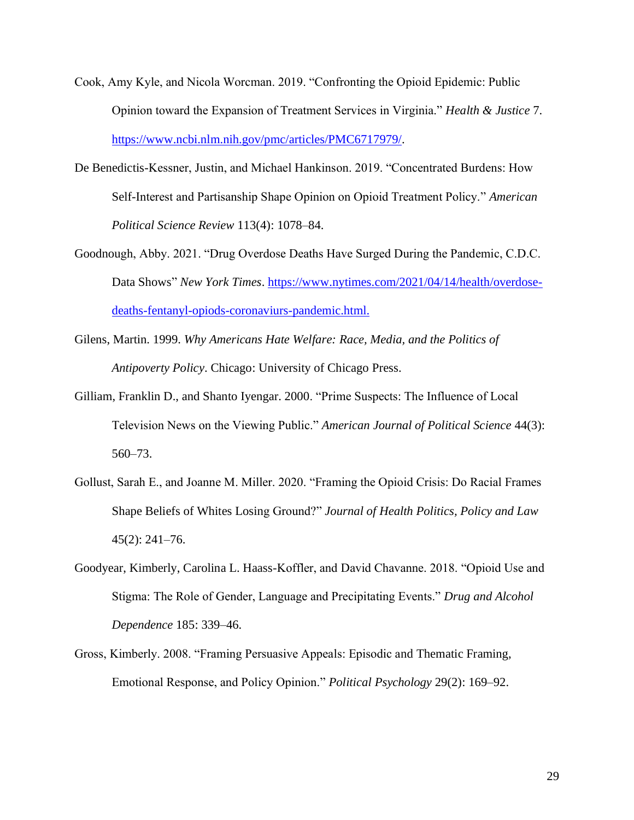- Cook, Amy Kyle, and Nicola Worcman. 2019. "Confronting the Opioid Epidemic: Public Opinion toward the Expansion of Treatment Services in Virginia." *Health & Justice* 7. [https://www.ncbi.nlm.nih.gov/pmc/articles/PMC6717979/.](https://www.ncbi.nlm.nih.gov/pmc/articles/PMC6717979/)
- De Benedictis-Kessner, Justin, and Michael Hankinson. 2019. "Concentrated Burdens: How Self-Interest and Partisanship Shape Opinion on Opioid Treatment Policy." *American Political Science Review* 113(4): 1078–84.
- Goodnough, Abby. 2021. "Drug Overdose Deaths Have Surged During the Pandemic, C.D.C. Data Shows" *New York Times*. [https://www.nytimes.com/2021/04/14/health/overdose](https://www.nytimes.com/2021/04/14/health/overdose-deaths-fentanyl-opiods-coronaviurs-pandemic.html)[deaths-fentanyl-opiods-coronaviurs-pandemic.html.](https://www.nytimes.com/2021/04/14/health/overdose-deaths-fentanyl-opiods-coronaviurs-pandemic.html)
- Gilens, Martin. 1999. *Why Americans Hate Welfare: Race, Media, and the Politics of Antipoverty Policy*. Chicago: University of Chicago Press.
- Gilliam, Franklin D., and Shanto Iyengar. 2000. "Prime Suspects: The Influence of Local Television News on the Viewing Public." *American Journal of Political Science* 44(3): 560–73.
- Gollust, Sarah E., and Joanne M. Miller. 2020. "Framing the Opioid Crisis: Do Racial Frames Shape Beliefs of Whites Losing Ground?" *Journal of Health Politics, Policy and Law* 45(2): 241–76.
- Goodyear, Kimberly, Carolina L. Haass-Koffler, and David Chavanne. 2018. "Opioid Use and Stigma: The Role of Gender, Language and Precipitating Events." *Drug and Alcohol Dependence* 185: 339–46.
- Gross, Kimberly. 2008. "Framing Persuasive Appeals: Episodic and Thematic Framing, Emotional Response, and Policy Opinion." *Political Psychology* 29(2): 169–92.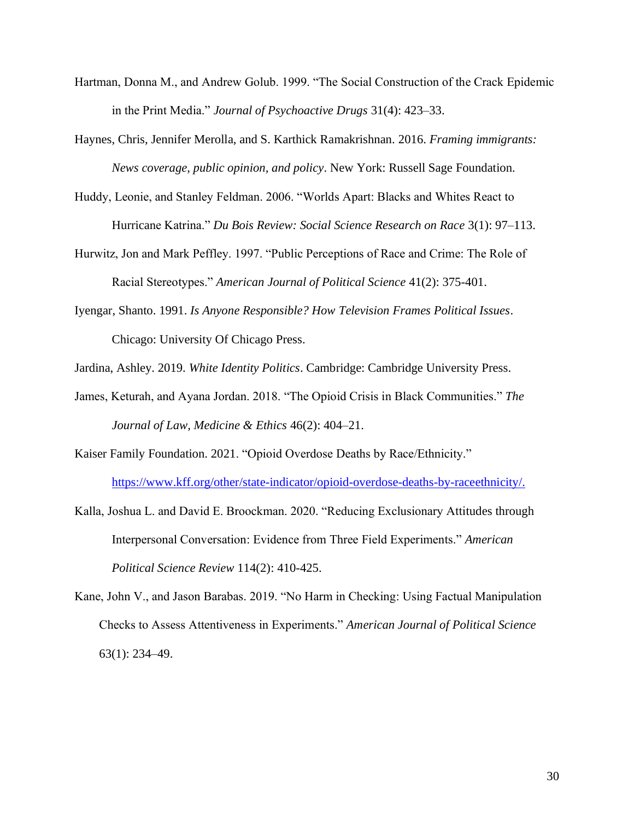- Hartman, Donna M., and Andrew Golub. 1999. "The Social Construction of the Crack Epidemic in the Print Media." *Journal of Psychoactive Drugs* 31(4): 423–33.
- Haynes, Chris, Jennifer Merolla, and S. Karthick Ramakrishnan. 2016. *Framing immigrants: News coverage, public opinion, and policy*. New York: Russell Sage Foundation.
- Huddy, Leonie, and Stanley Feldman. 2006. "Worlds Apart: Blacks and Whites React to Hurricane Katrina." *Du Bois Review: Social Science Research on Race* 3(1): 97–113.
- Hurwitz, Jon and Mark Peffley. 1997. "Public Perceptions of Race and Crime: The Role of Racial Stereotypes." *American Journal of Political Science* 41(2): 375-401.
- Iyengar, Shanto. 1991. *Is Anyone Responsible? How Television Frames Political Issues*. Chicago: University Of Chicago Press.
- Jardina, Ashley. 2019. *White Identity Politics*. Cambridge: Cambridge University Press.
- James, Keturah, and Ayana Jordan. 2018. "The Opioid Crisis in Black Communities." *The Journal of Law, Medicine & Ethics* 46(2): 404–21.
- Kaiser Family Foundation. 2021. "Opioid Overdose Deaths by Race/Ethnicity." [https://www.kff.org/other/state-indicator/opioid-overdose-deaths-by-raceethnicity/.](https://www.kff.org/other/state-indicator/opioid-overdose-deaths-by-raceethnicity/)
- Kalla, Joshua L. and David E. Broockman. 2020. "Reducing Exclusionary Attitudes through Interpersonal Conversation: Evidence from Three Field Experiments." *American Political Science Review* 114(2): 410-425.
- Kane, John V., and Jason Barabas. 2019. "No Harm in Checking: Using Factual Manipulation Checks to Assess Attentiveness in Experiments." *American Journal of Political Science* 63(1): 234–49.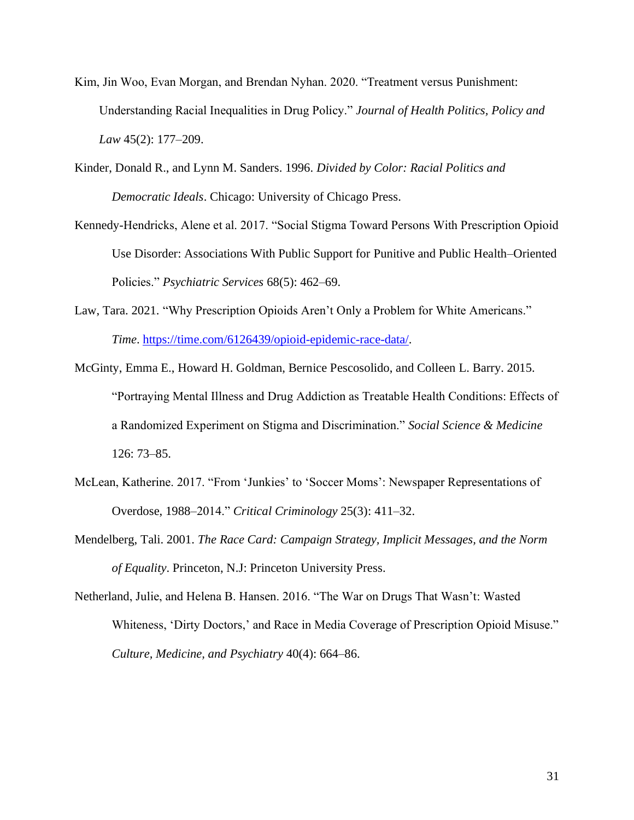- Kim, Jin Woo, Evan Morgan, and Brendan Nyhan. 2020. "Treatment versus Punishment: Understanding Racial Inequalities in Drug Policy." *Journal of Health Politics, Policy and Law* 45(2): 177–209.
- Kinder, Donald R., and Lynn M. Sanders. 1996. *Divided by Color: Racial Politics and Democratic Ideals*. Chicago: University of Chicago Press.
- Kennedy-Hendricks, Alene et al. 2017. "Social Stigma Toward Persons With Prescription Opioid Use Disorder: Associations With Public Support for Punitive and Public Health–Oriented Policies." *Psychiatric Services* 68(5): 462–69.
- Law, Tara. 2021. "Why Prescription Opioids Aren't Only a Problem for White Americans." *Time*. [https://time.com/6126439/opioid-epidemic-race-data/.](https://time.com/6126439/opioid-epidemic-race-data/)
- McGinty, Emma E., Howard H. Goldman, Bernice Pescosolido, and Colleen L. Barry. 2015. "Portraying Mental Illness and Drug Addiction as Treatable Health Conditions: Effects of a Randomized Experiment on Stigma and Discrimination." *Social Science & Medicine* 126: 73–85.
- McLean, Katherine. 2017. "From 'Junkies' to 'Soccer Moms': Newspaper Representations of Overdose, 1988–2014." *Critical Criminology* 25(3): 411–32.
- Mendelberg, Tali. 2001. *The Race Card: Campaign Strategy, Implicit Messages, and the Norm of Equality*. Princeton, N.J: Princeton University Press.

Netherland, Julie, and Helena B. Hansen. 2016. "The War on Drugs That Wasn't: Wasted Whiteness, 'Dirty Doctors,' and Race in Media Coverage of Prescription Opioid Misuse." *Culture, Medicine, and Psychiatry* 40(4): 664–86.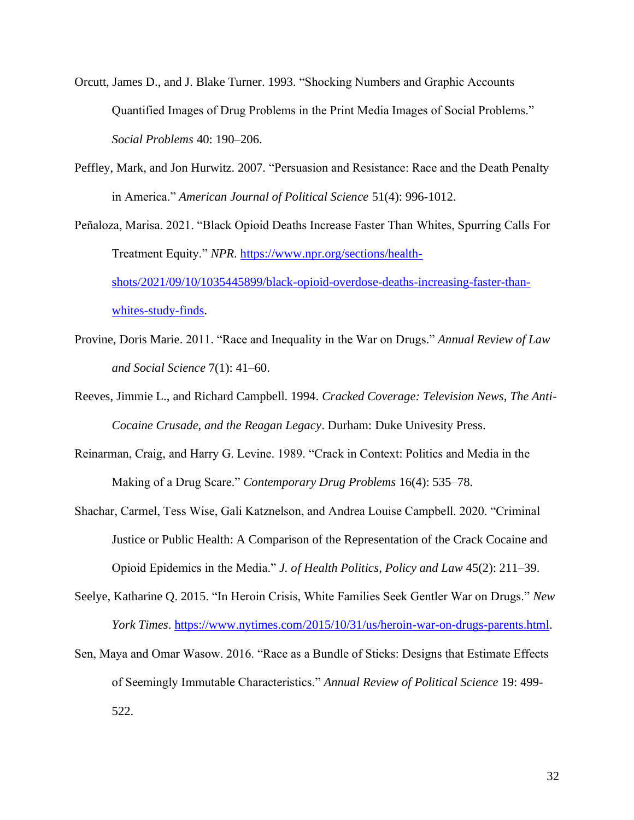- Orcutt, James D., and J. Blake Turner. 1993. "Shocking Numbers and Graphic Accounts Quantified Images of Drug Problems in the Print Media Images of Social Problems." *Social Problems* 40: 190–206.
- Peffley, Mark, and Jon Hurwitz. 2007. "Persuasion and Resistance: Race and the Death Penalty in America." *American Journal of Political Science* 51(4): 996-1012.

Peñaloza, Marisa. 2021. "Black Opioid Deaths Increase Faster Than Whites, Spurring Calls For Treatment Equity." *NPR*. [https://www.npr.org/sections/health](https://www.npr.org/sections/health-shots/2021/09/10/1035445899/black-opioid-overdose-deaths-increasing-faster-than-whites-study-finds)[shots/2021/09/10/1035445899/black-opioid-overdose-deaths-increasing-faster-than](https://www.npr.org/sections/health-shots/2021/09/10/1035445899/black-opioid-overdose-deaths-increasing-faster-than-whites-study-finds)[whites-study-finds.](https://www.npr.org/sections/health-shots/2021/09/10/1035445899/black-opioid-overdose-deaths-increasing-faster-than-whites-study-finds)

- Provine, Doris Marie. 2011. "Race and Inequality in the War on Drugs." *Annual Review of Law and Social Science* 7(1): 41–60.
- Reeves, Jimmie L., and Richard Campbell. 1994. *Cracked Coverage: Television News, The Anti-Cocaine Crusade, and the Reagan Legacy*. Durham: Duke Univesity Press.
- Reinarman, Craig, and Harry G. Levine. 1989. "Crack in Context: Politics and Media in the Making of a Drug Scare." *Contemporary Drug Problems* 16(4): 535–78.
- Shachar, Carmel, Tess Wise, Gali Katznelson, and Andrea Louise Campbell. 2020. "Criminal Justice or Public Health: A Comparison of the Representation of the Crack Cocaine and Opioid Epidemics in the Media." *J. of Health Politics, Policy and Law* 45(2): 211–39.
- Seelye, Katharine Q. 2015. "In Heroin Crisis, White Families Seek Gentler War on Drugs." *New York Times*. [https://www.nytimes.com/2015/10/31/us/heroin-war-on-drugs-parents.html.](https://www.nytimes.com/2015/10/31/us/heroin-war-on-drugs-parents.html)
- Sen, Maya and Omar Wasow. 2016. "Race as a Bundle of Sticks: Designs that Estimate Effects of Seemingly Immutable Characteristics." *Annual Review of Political Science* 19: 499- 522.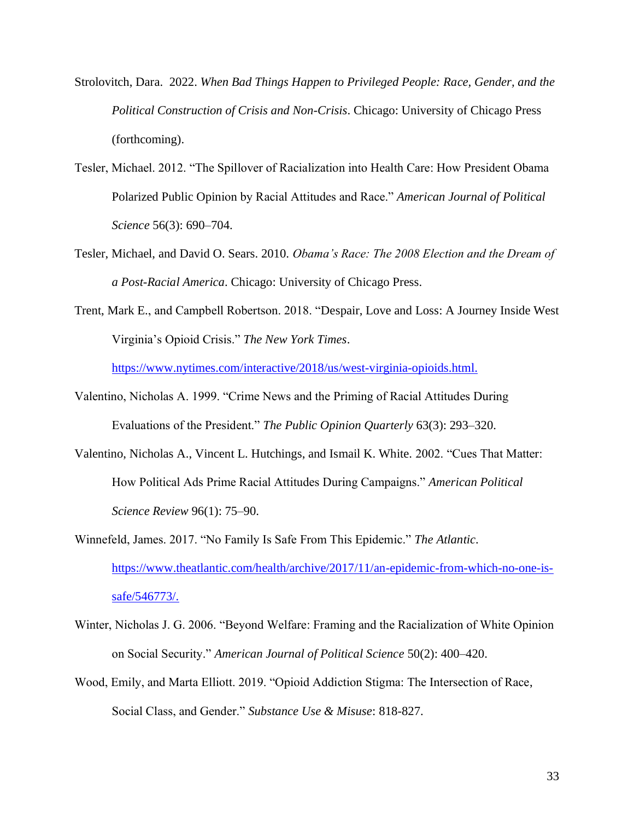- Strolovitch, Dara. 2022. *When Bad Things Happen to Privileged People: Race, Gender, and the Political Construction of Crisis and Non-Crisis*. Chicago: University of Chicago Press (forthcoming).
- Tesler, Michael. 2012. "The Spillover of Racialization into Health Care: How President Obama Polarized Public Opinion by Racial Attitudes and Race." *American Journal of Political Science* 56(3): 690–704.
- Tesler, Michael, and David O. Sears. 2010. *Obama's Race: The 2008 Election and the Dream of a Post-Racial America*. Chicago: University of Chicago Press.
- Trent, Mark E., and Campbell Robertson. 2018. "Despair, Love and Loss: A Journey Inside West Virginia's Opioid Crisis." *The New York Times*.

[https://www.nytimes.com/interactive/2018/us/west-virginia-opioids.html.](https://www.nytimes.com/interactive/2018/us/west-virginia-opioids.html)

- Valentino, Nicholas A. 1999. "Crime News and the Priming of Racial Attitudes During Evaluations of the President." *The Public Opinion Quarterly* 63(3): 293–320.
- Valentino, Nicholas A., Vincent L. Hutchings, and Ismail K. White. 2002. "Cues That Matter: How Political Ads Prime Racial Attitudes During Campaigns." *American Political Science Review* 96(1): 75–90.
- Winnefeld, James. 2017. "No Family Is Safe From This Epidemic." *The Atlantic*. [https://www.theatlantic.com/health/archive/2017/11/an-epidemic-from-which-no-one-is](https://www.theatlantic.com/health/archive/2017/11/an-epidemic-from-which-no-one-is-safe/546773/)[safe/546773/.](https://www.theatlantic.com/health/archive/2017/11/an-epidemic-from-which-no-one-is-safe/546773/)
- Winter, Nicholas J. G. 2006. "Beyond Welfare: Framing and the Racialization of White Opinion on Social Security." *American Journal of Political Science* 50(2): 400–420.
- Wood, Emily, and Marta Elliott. 2019. "Opioid Addiction Stigma: The Intersection of Race, Social Class, and Gender." *Substance Use & Misuse*: 818-827.